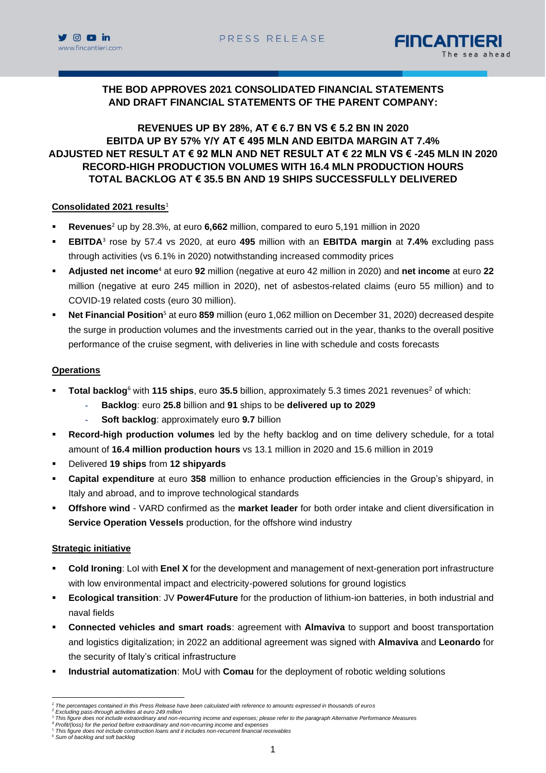



# **THE BOD APPROVES 2021 CONSOLIDATED FINANCIAL STATEMENTS AND DRAFT FINANCIAL STATEMENTS OF THE PARENT COMPANY:**

# **REVENUES UP BY 28%, AT € 6.7 BN VS € 5.2 BN IN 2020 EBITDA UP BY 57% Y/Y AT € 495 MLN AND EBITDA MARGIN AT 7.4% ADJUSTED NET RESULT AT € 92 MLN AND NET RESULT AT € 22 MLN VS € -245 MLN IN 2020 RECORD-HIGH PRODUCTION VOLUMES WITH 16.4 MLN PRODUCTION HOURS TOTAL BACKLOG AT € 35.5 BN AND 19 SHIPS SUCCESSFULLY DELIVERED**

### **Consolidated 2021 results**<sup>1</sup>

- **Revenues**<sup>2</sup> up by 28.3%, at euro **6,662** million, compared to euro 5,191 million in 2020
- **EBITDA**<sup>3</sup> rose by 57.4 vs 2020, at euro **495** million with an **EBITDA margin** at **7.4%** excluding pass through activities (vs 6.1% in 2020) notwithstanding increased commodity prices
- **Adjusted net income**<sup>4</sup> at euro **92** million (negative at euro 42 million in 2020) and **net income** at euro **22** million (negative at euro 245 million in 2020), net of asbestos-related claims (euro 55 million) and to COVID-19 related costs (euro 30 million).
- **Net Financial Position**<sup>5</sup> at euro **859** million (euro 1,062 million on December 31, 2020) decreased despite the surge in production volumes and the investments carried out in the year, thanks to the overall positive performance of the cruise segment, with deliveries in line with schedule and costs forecasts

### **Operations**

- **Total backlog**<sup>6</sup> with **115 ships**, euro 35.5 billion, approximately 5.3 times 2021 revenues<sup>2</sup> of which:
	- **Backlog**: euro **25.8** billion and **91** ships to be **delivered up to 2029**
	- Soft backlog: approximately euro 9.7 billion
- **Record-high production volumes** led by the hefty backlog and on time delivery schedule, for a total amount of **16.4 million production hours** vs 13.1 million in 2020 and 15.6 million in 2019
- Delivered **19 ships** from **12 shipyards**
- **Capital expenditure** at euro 358 million to enhance production efficiencies in the Group's shipyard, in Italy and abroad, and to improve technological standards
- **Offshore wind** VARD confirmed as the **market leader** for both order intake and client diversification in **Service Operation Vessels** production, for the offshore wind industry

### **Strategic initiative**

- **Cold Ironing**: LoI with **Enel X** for the development and management of next-generation port infrastructure with low environmental impact and electricity-powered solutions for ground logistics
- **Ecological transition**: JV **Power4Future** for the production of lithium-ion batteries, in both industrial and naval fields
- **Connected vehicles and smart roads:** agreement with **Almaviva** to support and boost transportation and logistics digitalization; in 2022 an additional agreement was signed with **Almaviva** and **Leonardo** for the security of Italy's critical infrastructure
- **Industrial automatization**: MoU with **Comau** for the deployment of robotic welding solutions

*<sup>1</sup> The percentages contained in this Press Release have been calculated with reference to amounts expressed in thousands of euros*

*<sup>2</sup> Excluding pass-through activities at euro 249 million*

*<sup>3</sup> This figure does not include extraordinary and non-recurring income and expenses; please refer to the paragraph Alternative Performance Measures*

*<sup>4</sup> Profit/(loss) for the period before extraordinary and non-recurring income and expenses*

<sup>5</sup> *This figure does not include construction loans and it includes non-recurrent financial receivables <sup>6</sup> Sum of backlog and soft backlog*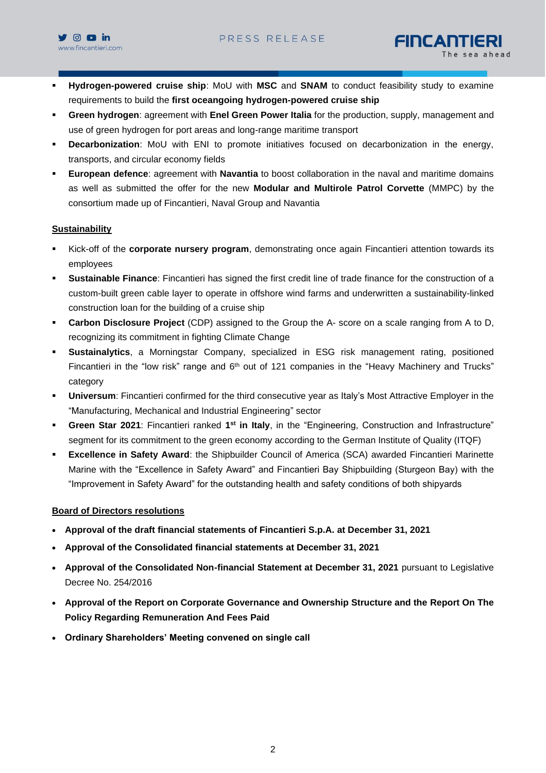



- Hydrogen-powered cruise ship: MoU with MSC and SNAM to conduct feasibility study to examine requirements to build the **first oceangoing hydrogen-powered cruise ship**
- **Green hydrogen**: agreement with **Enel Green Power Italia** for the production, supply, management and use of green hydrogen for port areas and long-range maritime transport
- **Decarbonization**: MoU with ENI to promote initiatives focused on decarbonization in the energy, transports, and circular economy fields
- **European defence**: agreement with **Navantia** to boost collaboration in the naval and maritime domains as well as submitted the offer for the new **Modular and Multirole Patrol Corvette** (MMPC) by the consortium made up of Fincantieri, Naval Group and Navantia

### **Sustainability**

- Kick-off of the **corporate nursery program**, demonstrating once again Fincantieri attention towards its employees
- **Sustainable Finance**: Fincantieri has signed the first credit line of trade finance for the construction of a custom-built green cable layer to operate in offshore wind farms and underwritten a sustainability-linked construction loan for the building of a cruise ship
- **Carbon Disclosure Project** (CDP) assigned to the Group the A- score on a scale ranging from A to D, recognizing its commitment in fighting Climate Change
- **Sustainalytics**, a Morningstar Company, specialized in ESG risk management rating, positioned Fincantieri in the "low risk" range and  $6<sup>th</sup>$  out of 121 companies in the "Heavy Machinery and Trucks" category
- **Universum**: Fincantieri confirmed for the third consecutive year as Italy's Most Attractive Employer in the "Manufacturing, Mechanical and Industrial Engineering" sector
- **Green Star 2021**: Fincantieri ranked 1<sup>st</sup> in Italy, in the "Engineering, Construction and Infrastructure" segment for its commitment to the green economy according to the German Institute of Quality (ITQF)
- **Excellence in Safety Award:** the Shipbuilder Council of America (SCA) awarded Fincantieri Marinette Marine with the "Excellence in Safety Award" and Fincantieri Bay Shipbuilding (Sturgeon Bay) with the "Improvement in Safety Award" for the outstanding health and safety conditions of both shipyards

### **Board of Directors resolutions**

- **Approval of the draft financial statements of Fincantieri S.p.A. at December 31, 2021**
- **Approval of the Consolidated financial statements at December 31, 2021**
- **Approval of the Consolidated Non-financial Statement at December 31, 2021** pursuant to Legislative Decree No. 254/2016
- **Approval of the Report on Corporate Governance and Ownership Structure and the Report On The Policy Regarding Remuneration And Fees Paid**
- **Ordinary Shareholders' Meeting convened on single call**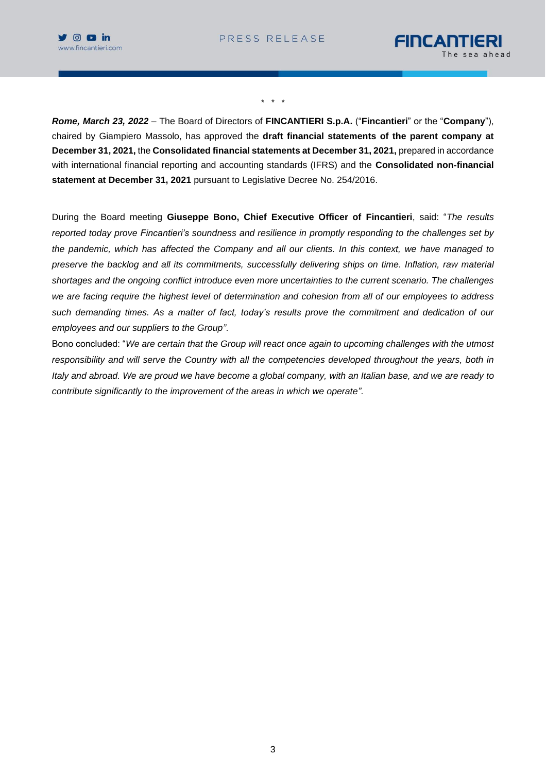



\* \* \*

*Rome, March 23, 2022* – The Board of Directors of **FINCANTIERI S.p.A.** ("**Fincantieri**" or the "**Company**"), chaired by Giampiero Massolo, has approved the **draft financial statements of the parent company at December 31, 2021,** the **Consolidated financial statements at December 31, 2021,** prepared in accordance with international financial reporting and accounting standards (IFRS) and the **Consolidated non-financial statement at December 31, 2021** pursuant to Legislative Decree No. 254/2016.

During the Board meeting **Giuseppe Bono, Chief Executive Officer of Fincantieri**, said: "*The results reported today prove Fincantieri's soundness and resilience in promptly responding to the challenges set by the pandemic, which has affected the Company and all our clients. In this context, we have managed to preserve the backlog and all its commitments, successfully delivering ships on time. Inflation, raw material shortages and the ongoing conflict introduce even more uncertainties to the current scenario. The challenges we are facing require the highest level of determination and cohesion from all of our employees to address such demanding times. As a matter of fact, today's results prove the commitment and dedication of our employees and our suppliers to the Group"*.

Bono concluded: "*We are certain that the Group will react once again to upcoming challenges with the utmost responsibility and will serve the Country with all the competencies developed throughout the years, both in Italy and abroad. We are proud we have become a global company, with an Italian base, and we are ready to contribute significantly to the improvement of the areas in which we operate".*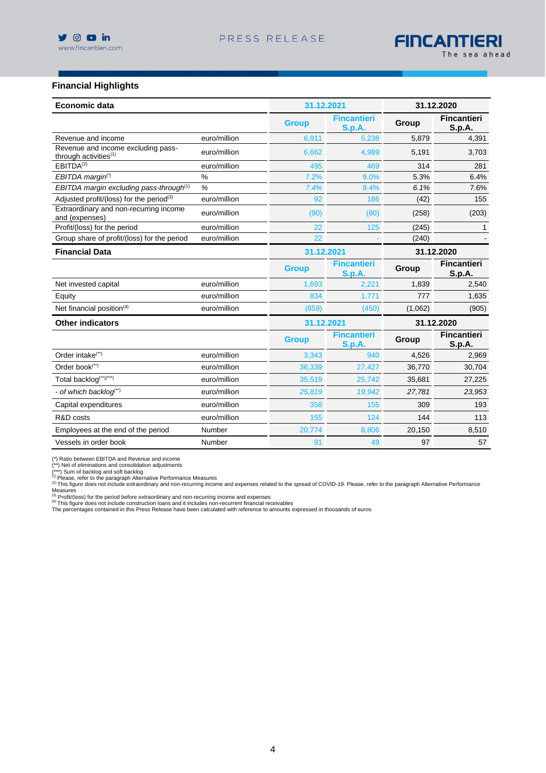### **Financial Highlights**

| <b>Economic data</b>                                           |              | 31.12.2021   |                                     |         | 31.12.2020                   |
|----------------------------------------------------------------|--------------|--------------|-------------------------------------|---------|------------------------------|
|                                                                |              | <b>Group</b> | <b>Fincantieri</b><br><b>S.p.A.</b> | Group   | <b>Fincantieri</b><br>S.p.A. |
| Revenue and income                                             | euro/million | 6,911        | 5,238                               | 5,879   | 4,391                        |
| Revenue and income excluding pass-<br>through activities $(1)$ | euro/million | 6,662        | 4,989                               | 5,191   | 3,703                        |
| EBITDA <sup>(2)</sup>                                          | euro/million | 495          | 469                                 | 314     | 281                          |
| EBITDA margin <sup>(*)</sup>                                   | %            | 7.2%         | 9.0%                                | 5.3%    | 6.4%                         |
| EBITDA margin excluding pass-through <sup>(1)</sup>            | %            | 7.4%         | 9.4%                                | 6.1%    | 7.6%                         |
| Adjusted profit/(loss) for the period <sup>(3)</sup>           | euro/million | 92           | 186                                 | (42)    | 155                          |
| Extraordinary and non-recurring income<br>and (expenses)       | euro/million | (90)         | (80)                                | (258)   | (203)                        |
| Profit/(loss) for the period                                   | euro/million | 22           | 125                                 | (245)   | 1                            |
| Group share of profit/(loss) for the period                    | euro/million | 22           |                                     | (240)   |                              |
| <b>Financial Data</b>                                          |              | 31.12.2021   |                                     |         | 31.12.2020                   |
|                                                                |              | <b>Group</b> | <b>Fincantieri</b><br><b>S.p.A.</b> | Group   | <b>Fincantieri</b><br>S.p.A. |
| Net invested capital                                           | euro/million | 1,693        | 2,221                               | 1,839   | 2,540                        |
| Equity                                                         | euro/million | 834          | 1,771                               | 777     | 1,635                        |
| Net financial position $(4)$                                   | euro/million | (859)        | (450)                               | (1,062) | (905)                        |
| <b>Other indicators</b>                                        |              | 31.12.2021   |                                     |         | 31.12.2020                   |
|                                                                |              | <b>Group</b> | <b>Fincantieri</b><br><b>S.p.A.</b> | Group   | <b>Fincantieri</b><br>S.p.A. |
| Order intake <sup>(**)</sup>                                   | euro/million | 3,343        | 940                                 | 4,526   | 2,969                        |
| Order book(**)                                                 | euro/million | 36,339       | 27,427                              | 36,770  | 30,704                       |
| Total backlog(**)(***)                                         | euro/million | 35,519       | 25,742                              | 35,681  | 27,225                       |
| - of which backlog <sup>(**)</sup>                             | euro/million | 25,819       | 19,942                              | 27,781  | 23,953                       |
| Capital expenditures                                           | euro/million | 358          | 155                                 | 309     | 193                          |
| R&D costs                                                      | euro/million | 155          | 124                                 | 144     | 113                          |
| Employees at the end of the period                             | Number       | 20,774       | 8,806                               | 20,150  | 8,510                        |
| Vessels in order book                                          | Number       | 91           | 49                                  | 97      | 57                           |

(\*) Ratio between EBITDA and Revenue and income<br>(\*\*\*) Net of eliminations and consolidation adjustments<br>(\*\*\*) Sum of backlog and sonsolidation adjustments<br>(\*\*\*) Sum of backlog and soft backlog<br>(\*\*\*) Sum of backlog and soft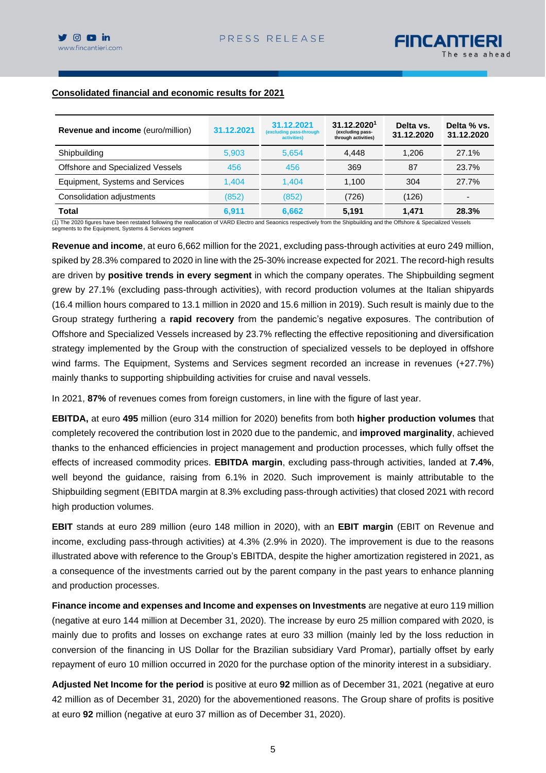

# **Consolidated financial and economic results for 2021**

| <b>Revenue and income (euro/million)</b>                                                                                                                                  | 31.12.2021 | 31.12.2021<br>(excluding pass-through<br>activities) | 31.12.20201<br>(excluding pass-<br>through activities) | Delta vs.<br>31.12.2020 | Delta % vs.<br>31.12.2020 |
|---------------------------------------------------------------------------------------------------------------------------------------------------------------------------|------------|------------------------------------------------------|--------------------------------------------------------|-------------------------|---------------------------|
| Shipbuilding                                                                                                                                                              | 5.903      | 5.654                                                | 4.448                                                  | 1.206                   | 27.1%                     |
| Offshore and Specialized Vessels                                                                                                                                          | 456        | 456                                                  | 369                                                    | 87                      | 23.7%                     |
| Equipment, Systems and Services                                                                                                                                           | 1.404      | 1.404                                                | 1.100                                                  | 304                     | 27.7%                     |
| Consolidation adjustments                                                                                                                                                 | (852)      | (852)                                                | (726)                                                  | (126)                   | -                         |
| Total                                                                                                                                                                     | 6.911      | 6.662                                                | 5.191                                                  | 1.471                   | 28.3%                     |
| (1) The 2020 figures have been restated following the reallocation of VARD Electro and Seaonics respectively from the Shipbuilding and the Offshore & Specialized Vessels |            |                                                      |                                                        |                         |                           |

segments to the Equipment, Systems & Services segment

**Revenue and income**, at euro 6,662 million for the 2021, excluding pass-through activities at euro 249 million, spiked by 28.3% compared to 2020 in line with the 25-30% increase expected for 2021. The record-high results are driven by **positive trends in every segment** in which the company operates. The Shipbuilding segment grew by 27.1% (excluding pass-through activities), with record production volumes at the Italian shipyards (16.4 million hours compared to 13.1 million in 2020 and 15.6 million in 2019). Such result is mainly due to the Group strategy furthering a **rapid recovery** from the pandemic's negative exposures. The contribution of Offshore and Specialized Vessels increased by 23.7% reflecting the effective repositioning and diversification strategy implemented by the Group with the construction of specialized vessels to be deployed in offshore wind farms. The Equipment, Systems and Services segment recorded an increase in revenues (+27.7%) mainly thanks to supporting shipbuilding activities for cruise and naval vessels.

In 2021, **87%** of revenues comes from foreign customers, in line with the figure of last year.

**EBITDA,** at euro **495** million (euro 314 million for 2020) benefits from both **higher production volumes** that completely recovered the contribution lost in 2020 due to the pandemic, and **improved marginality**, achieved thanks to the enhanced efficiencies in project management and production processes, which fully offset the effects of increased commodity prices. **EBITDA margin**, excluding pass-through activities, landed at **7.4%**, well beyond the guidance, raising from 6.1% in 2020. Such improvement is mainly attributable to the Shipbuilding segment (EBITDA margin at 8.3% excluding pass-through activities) that closed 2021 with record high production volumes.

**EBIT** stands at euro 289 million (euro 148 million in 2020), with an **EBIT margin** (EBIT on Revenue and income, excluding pass-through activities) at 4.3% (2.9% in 2020). The improvement is due to the reasons illustrated above with reference to the Group's EBITDA, despite the higher amortization registered in 2021, as a consequence of the investments carried out by the parent company in the past years to enhance planning and production processes.

**Finance income and expenses and Income and expenses on Investments** are negative at euro 119 million (negative at euro 144 million at December 31, 2020). The increase by euro 25 million compared with 2020, is mainly due to profits and losses on exchange rates at euro 33 million (mainly led by the loss reduction in conversion of the financing in US Dollar for the Brazilian subsidiary Vard Promar), partially offset by early repayment of euro 10 million occurred in 2020 for the purchase option of the minority interest in a subsidiary.

**Adjusted Net Income for the period** is positive at euro **92** million as of December 31, 2021 (negative at euro 42 million as of December 31, 2020) for the abovementioned reasons. The Group share of profits is positive at euro **92** million (negative at euro 37 million as of December 31, 2020).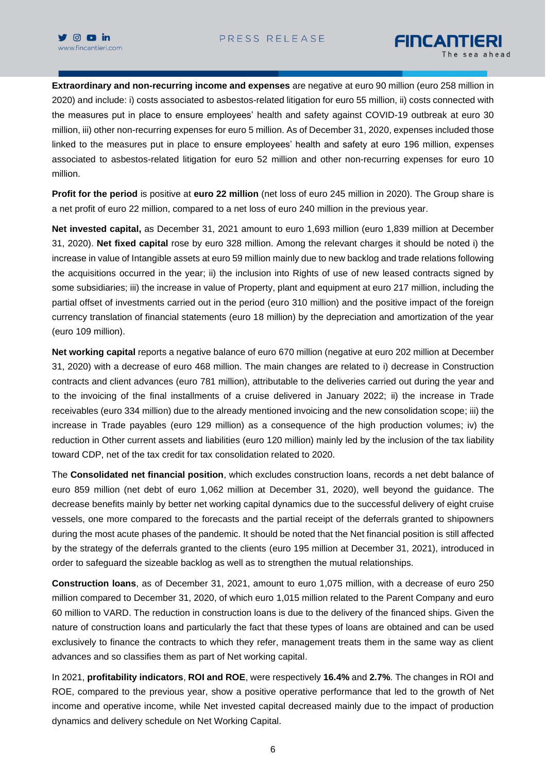

**Extraordinary and non-recurring income and expenses** are negative at euro 90 million (euro 258 million in 2020) and include: i) costs associated to asbestos-related litigation for euro 55 million, ii) costs connected with the measures put in place to ensure employees' health and safety against COVID-19 outbreak at euro 30 million, iii) other non-recurring expenses for euro 5 million. As of December 31, 2020, expenses included those linked to the measures put in place to ensure employees' health and safety at euro 196 million, expenses associated to asbestos-related litigation for euro 52 million and other non-recurring expenses for euro 10 million.

**Profit for the period** is positive at **euro 22 million** (net loss of euro 245 million in 2020). The Group share is a net profit of euro 22 million, compared to a net loss of euro 240 million in the previous year.

**Net invested capital,** as December 31, 2021 amount to euro 1,693 million (euro 1,839 million at December 31, 2020). **Net fixed capital** rose by euro 328 million. Among the relevant charges it should be noted i) the increase in value of Intangible assets at euro 59 million mainly due to new backlog and trade relations following the acquisitions occurred in the year; ii) the inclusion into Rights of use of new leased contracts signed by some subsidiaries; iii) the increase in value of Property, plant and equipment at euro 217 million, including the partial offset of investments carried out in the period (euro 310 million) and the positive impact of the foreign currency translation of financial statements (euro 18 million) by the depreciation and amortization of the year (euro 109 million).

**Net working capital** reports a negative balance of euro 670 million (negative at euro 202 million at December 31, 2020) with a decrease of euro 468 million. The main changes are related to i) decrease in Construction contracts and client advances (euro 781 million), attributable to the deliveries carried out during the year and to the invoicing of the final installments of a cruise delivered in January 2022; ii) the increase in Trade receivables (euro 334 million) due to the already mentioned invoicing and the new consolidation scope; iii) the increase in Trade payables (euro 129 million) as a consequence of the high production volumes; iv) the reduction in Other current assets and liabilities (euro 120 million) mainly led by the inclusion of the tax liability toward CDP, net of the tax credit for tax consolidation related to 2020.

The **Consolidated net financial position**, which excludes construction loans, records a net debt balance of euro 859 million (net debt of euro 1,062 million at December 31, 2020), well beyond the guidance. The decrease benefits mainly by better net working capital dynamics due to the successful delivery of eight cruise vessels, one more compared to the forecasts and the partial receipt of the deferrals granted to shipowners during the most acute phases of the pandemic. It should be noted that the Net financial position is still affected by the strategy of the deferrals granted to the clients (euro 195 million at December 31, 2021), introduced in order to safeguard the sizeable backlog as well as to strengthen the mutual relationships.

**Construction loans**, as of December 31, 2021, amount to euro 1,075 million, with a decrease of euro 250 million compared to December 31, 2020, of which euro 1,015 million related to the Parent Company and euro 60 million to VARD. The reduction in construction loans is due to the delivery of the financed ships. Given the nature of construction loans and particularly the fact that these types of loans are obtained and can be used exclusively to finance the contracts to which they refer, management treats them in the same way as client advances and so classifies them as part of Net working capital.

In 2021, **profitability indicators**, **ROI and ROE**, were respectively **16.4%** and **2.7%**. The changes in ROI and ROE, compared to the previous year, show a positive operative performance that led to the growth of Net income and operative income, while Net invested capital decreased mainly due to the impact of production dynamics and delivery schedule on Net Working Capital.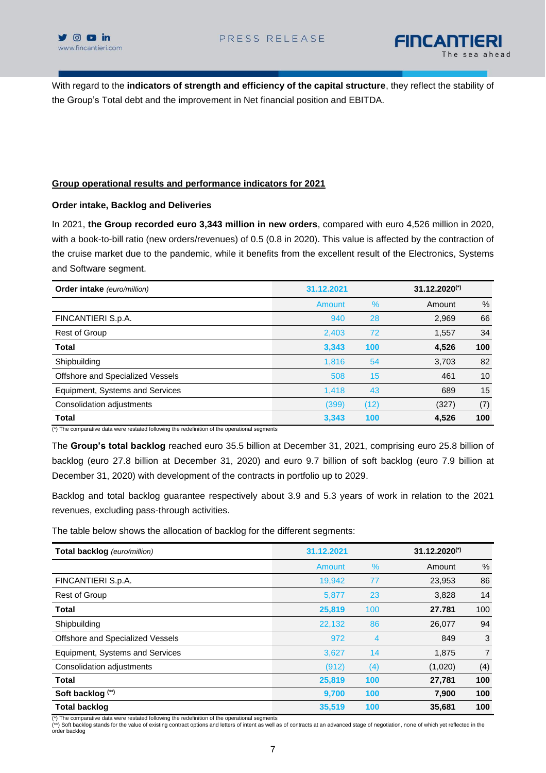



With regard to the **indicators of strength and efficiency of the capital structure**, they reflect the stability of the Group's Total debt and the improvement in Net financial position and EBITDA.

## **Group operational results and performance indicators for 2021**

### **Order intake, Backlog and Deliveries**

In 2021, **the Group recorded euro 3,343 million in new orders**, compared with euro 4,526 million in 2020, with a book-to-bill ratio (new orders/revenues) of 0.5 (0.8 in 2020). This value is affected by the contraction of the cruise market due to the pandemic, while it benefits from the excellent result of the Electronics, Systems and Software segment.

| Order intake (euro/million)      | 31.12.2021 |      |        |      |
|----------------------------------|------------|------|--------|------|
|                                  | Amount     | $\%$ | Amount | $\%$ |
| FINCANTIERI S.p.A.               | 940        | 28   | 2,969  | 66   |
| Rest of Group                    | 2,403      | 72   | 1,557  | 34   |
| <b>Total</b>                     | 3,343      | 100  | 4,526  | 100  |
| Shipbuilding                     | 1,816      | 54   | 3,703  | 82   |
| Offshore and Specialized Vessels | 508        | 15   | 461    | 10   |
| Equipment, Systems and Services  | 1,418      | 43   | 689    | 15   |
| Consolidation adjustments        | (399)      | (12) | (327)  | (7)  |
| <b>Total</b>                     | 3,343      | 100  | 4,526  | 100  |

(\*) The comparative data were restated following the redefinition of the operational segments

The **Group's total backlog** reached euro 35.5 billion at December 31, 2021, comprising euro 25.8 billion of backlog (euro 27.8 billion at December 31, 2020) and euro 9.7 billion of soft backlog (euro 7.9 billion at December 31, 2020) with development of the contracts in portfolio up to 2029.

Backlog and total backlog guarantee respectively about 3.9 and 5.3 years of work in relation to the 2021 revenues, excluding pass-through activities.

The table below shows the allocation of backlog for the different segments:

| Total backlog (euro/million)     | 31.12.2021 |     | $31.12,2020^{(*)}$ |                |
|----------------------------------|------------|-----|--------------------|----------------|
|                                  | Amount     | %   | Amount             | $\%$           |
| FINCANTIERI S.p.A.               | 19,942     | 77  | 23,953             | 86             |
| Rest of Group                    | 5,877      | 23  | 3,828              | 14             |
| <b>Total</b>                     | 25,819     | 100 | 27.781             | 100            |
| Shipbuilding                     | 22,132     | 86  | 26,077             | 94             |
| Offshore and Specialized Vessels | 972        | 4   | 849                | 3              |
| Equipment, Systems and Services  | 3,627      | 14  | 1,875              | $\overline{7}$ |
| Consolidation adjustments        | (912)      | (4) | (1,020)            | (4)            |
| <b>Total</b>                     | 25,819     | 100 | 27,781             | 100            |
| Soft backlog (**)                | 9,700      | 100 | 7,900              | 100            |
| <b>Total backlog</b>             | 35,519     | 100 | 35,681             | 100            |

(\*) The comparative data were restated following the redefinition of the operational segments

<sup>(\*\*)</sup> Soft backlog stands for the value of existing contract options and letters of intent as well as of contracts at an advanced stage of negotiation, none of which yet reflected in the order backlog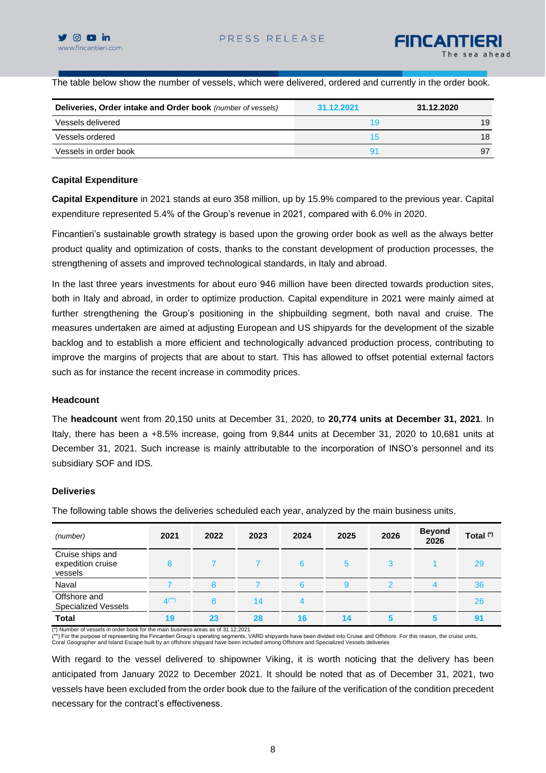The table below show the number of vessels, which were delivered, ordered and currently in the order book.

| Deliveries, Order intake and Order book (number of vessels) | 31.12.2021     | 31.12.2020 |
|-------------------------------------------------------------|----------------|------------|
| Vessels delivered                                           | 19             | 19         |
| Vessels ordered                                             | 15             | 18         |
| Vessels in order book                                       | 9 <sup>1</sup> | 97         |

### **Capital Expenditure**

**Capital Expenditure** in 2021 stands at euro 358 million, up by 15.9% compared to the previous year. Capital expenditure represented 5.4% of the Group's revenue in 2021, compared with 6.0% in 2020.

Fincantieri's sustainable growth strategy is based upon the growing order book as well as the always better product quality and optimization of costs, thanks to the constant development of production processes, the strengthening of assets and improved technological standards, in Italy and abroad.

In the last three years investments for about euro 946 million have been directed towards production sites, both in Italy and abroad, in order to optimize production. Capital expenditure in 2021 were mainly aimed at further strengthening the Group's positioning in the shipbuilding segment, both naval and cruise. The measures undertaken are aimed at adjusting European and US shipyards for the development of the sizable backlog and to establish a more efficient and technologically advanced production process, contributing to improve the margins of projects that are about to start. This has allowed to offset potential external factors such as for instance the recent increase in commodity prices.

### **Headcount**

The **headcount** went from 20,150 units at December 31, 2020, to **20,774 units at December 31, 2021**. In Italy, there has been a +8.5% increase, going from 9,844 units at December 31, 2020 to 10,681 units at December 31, 2021. Such increase is mainly attributable to the incorporation of INSO's personnel and its subsidiary SOF and IDS.

### **Deliveries**

The following table shows the deliveries scheduled each year, analyzed by the main business units.

| (number)                                         | 2021      | 2022 | 2023 | 2024 | 2025 | 2026 | <b>Beyond</b><br>2026 | Total <sup>(*)</sup> |
|--------------------------------------------------|-----------|------|------|------|------|------|-----------------------|----------------------|
| Cruise ships and<br>expedition cruise<br>vessels | 8         |      |      | 6    | 5    | 3    |                       | 29                   |
| Naval                                            |           | 8    |      | 6    | 9    | 0    | 4                     | 36                   |
| Offshore and<br><b>Specialized Vessels</b>       | $4^{(*)}$ | 8    | 14   |      |      |      |                       | 26                   |
| <b>Total</b>                                     | 19        | 23   | 28   | 16   | 14   |      |                       | 9 <sub>1</sub>       |

(\*) Number of vessels in order book for the main business areas as of 31.12.2021

(\*\*) For the purpose of representing the Fincantieri Group's operating segments, VARD shipyards have been divided into Cruise and Offshore. For this reason, the cruise units,<br>Coral Geographer and Island Escape built by an

With regard to the vessel delivered to shipowner Viking, it is worth noticing that the delivery has been anticipated from January 2022 to December 2021. It should be noted that as of December 31, 2021, two vessels have been excluded from the order book due to the failure of the verification of the condition precedent necessary for the contract's effectiveness.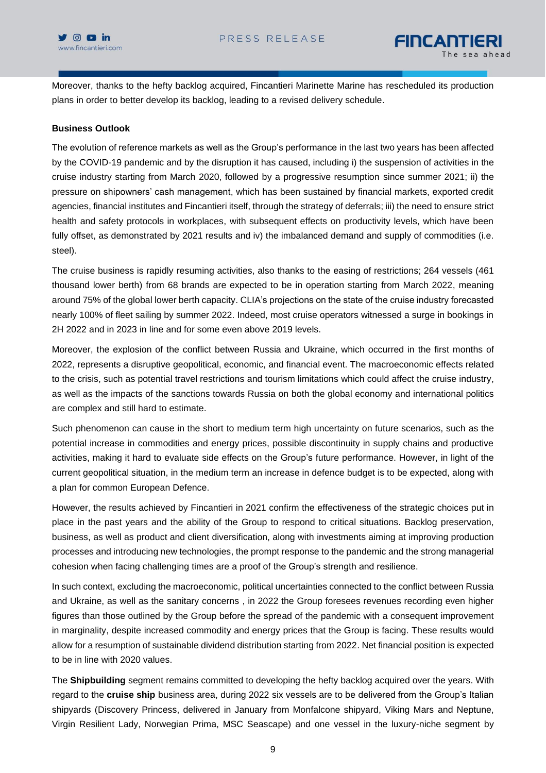

Moreover, thanks to the hefty backlog acquired, Fincantieri Marinette Marine has rescheduled its production plans in order to better develop its backlog, leading to a revised delivery schedule.

## **Business Outlook**

The evolution of reference markets as well as the Group's performance in the last two years has been affected by the COVID-19 pandemic and by the disruption it has caused, including i) the suspension of activities in the cruise industry starting from March 2020, followed by a progressive resumption since summer 2021; ii) the pressure on shipowners' cash management, which has been sustained by financial markets, exported credit agencies, financial institutes and Fincantieri itself, through the strategy of deferrals; iii) the need to ensure strict health and safety protocols in workplaces, with subsequent effects on productivity levels, which have been fully offset, as demonstrated by 2021 results and iv) the imbalanced demand and supply of commodities (i.e. steel).

The cruise business is rapidly resuming activities, also thanks to the easing of restrictions; 264 vessels (461 thousand lower berth) from 68 brands are expected to be in operation starting from March 2022, meaning around 75% of the global lower berth capacity. CLIA's projections on the state of the cruise industry forecasted nearly 100% of fleet sailing by summer 2022. Indeed, most cruise operators witnessed a surge in bookings in 2H 2022 and in 2023 in line and for some even above 2019 levels.

Moreover, the explosion of the conflict between Russia and Ukraine, which occurred in the first months of 2022, represents a disruptive geopolitical, economic, and financial event. The macroeconomic effects related to the crisis, such as potential travel restrictions and tourism limitations which could affect the cruise industry, as well as the impacts of the sanctions towards Russia on both the global economy and international politics are complex and still hard to estimate.

Such phenomenon can cause in the short to medium term high uncertainty on future scenarios, such as the potential increase in commodities and energy prices, possible discontinuity in supply chains and productive activities, making it hard to evaluate side effects on the Group's future performance. However, in light of the current geopolitical situation, in the medium term an increase in defence budget is to be expected, along with a plan for common European Defence.

However, the results achieved by Fincantieri in 2021 confirm the effectiveness of the strategic choices put in place in the past years and the ability of the Group to respond to critical situations. Backlog preservation, business, as well as product and client diversification, along with investments aiming at improving production processes and introducing new technologies, the prompt response to the pandemic and the strong managerial cohesion when facing challenging times are a proof of the Group's strength and resilience.

In such context, excluding the macroeconomic, political uncertainties connected to the conflict between Russia and Ukraine, as well as the sanitary concerns , in 2022 the Group foresees revenues recording even higher figures than those outlined by the Group before the spread of the pandemic with a consequent improvement in marginality, despite increased commodity and energy prices that the Group is facing. These results would allow for a resumption of sustainable dividend distribution starting from 2022. Net financial position is expected to be in line with 2020 values.

The **Shipbuilding** segment remains committed to developing the hefty backlog acquired over the years. With regard to the **cruise ship** business area, during 2022 six vessels are to be delivered from the Group's Italian shipyards (Discovery Princess, delivered in January from Monfalcone shipyard, Viking Mars and Neptune, Virgin Resilient Lady, Norwegian Prima, MSC Seascape) and one vessel in the luxury-niche segment by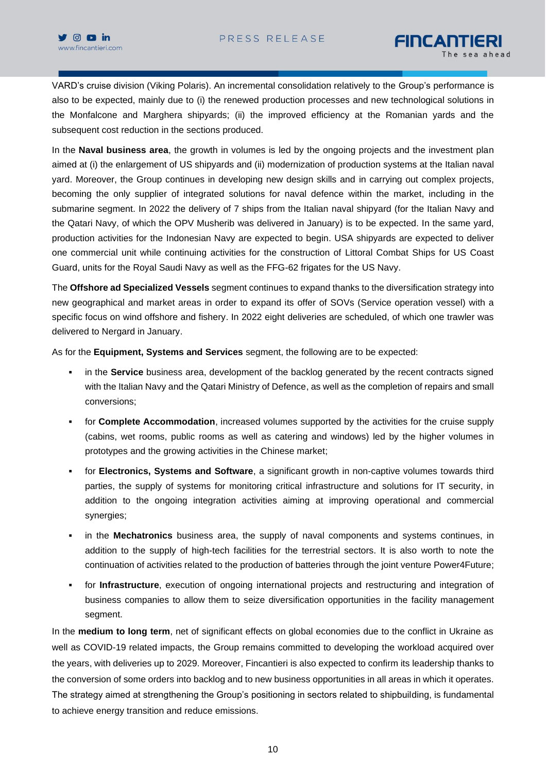

VARD's cruise division (Viking Polaris). An incremental consolidation relatively to the Group's performance is also to be expected, mainly due to (i) the renewed production processes and new technological solutions in the Monfalcone and Marghera shipyards; (ii) the improved efficiency at the Romanian yards and the subsequent cost reduction in the sections produced.

In the **Naval business area**, the growth in volumes is led by the ongoing projects and the investment plan aimed at (i) the enlargement of US shipyards and (ii) modernization of production systems at the Italian naval yard. Moreover, the Group continues in developing new design skills and in carrying out complex projects, becoming the only supplier of integrated solutions for naval defence within the market, including in the submarine segment. In 2022 the delivery of 7 ships from the Italian naval shipyard (for the Italian Navy and the Qatari Navy, of which the OPV Musherib was delivered in January) is to be expected. In the same yard, production activities for the Indonesian Navy are expected to begin. USA shipyards are expected to deliver one commercial unit while continuing activities for the construction of Littoral Combat Ships for US Coast Guard, units for the Royal Saudi Navy as well as the FFG-62 frigates for the US Navy.

The **Offshore ad Specialized Vessels** segment continues to expand thanks to the diversification strategy into new geographical and market areas in order to expand its offer of SOVs (Service operation vessel) with a specific focus on wind offshore and fishery. In 2022 eight deliveries are scheduled, of which one trawler was delivered to Nergard in January.

As for the **Equipment, Systems and Services** segment, the following are to be expected:

- **•** in the **Service** business area, development of the backlog generated by the recent contracts signed with the Italian Navy and the Qatari Ministry of Defence, as well as the completion of repairs and small conversions;
- for **Complete Accommodation**, increased volumes supported by the activities for the cruise supply (cabins, wet rooms, public rooms as well as catering and windows) led by the higher volumes in prototypes and the growing activities in the Chinese market;
- for **Electronics, Systems and Software**, a significant growth in non-captive volumes towards third parties, the supply of systems for monitoring critical infrastructure and solutions for IT security, in addition to the ongoing integration activities aiming at improving operational and commercial synergies;
- in the **Mechatronics** business area, the supply of naval components and systems continues, in addition to the supply of high-tech facilities for the terrestrial sectors. It is also worth to note the continuation of activities related to the production of batteries through the joint venture Power4Future;
- for **Infrastructure**, execution of ongoing international projects and restructuring and integration of business companies to allow them to seize diversification opportunities in the facility management segment.

In the **medium to long term**, net of significant effects on global economies due to the conflict in Ukraine as well as COVID-19 related impacts, the Group remains committed to developing the workload acquired over the years, with deliveries up to 2029. Moreover, Fincantieri is also expected to confirm its leadership thanks to the conversion of some orders into backlog and to new business opportunities in all areas in which it operates. The strategy aimed at strengthening the Group's positioning in sectors related to shipbuilding, is fundamental to achieve energy transition and reduce emissions.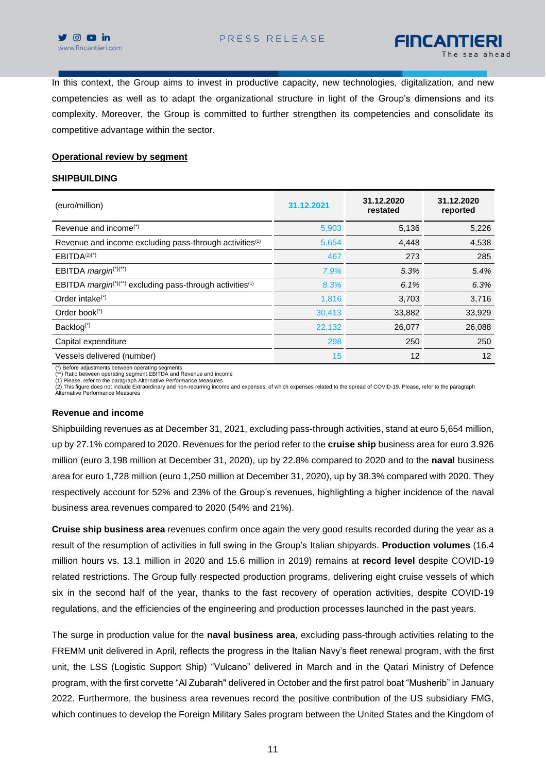

In this context, the Group aims to invest in productive capacity, new technologies, digitalization, and new competencies as well as to adapt the organizational structure in light of the Group's dimensions and its complexity. Moreover, the Group is committed to further strengthen its competencies and consolidate its competitive advantage within the sector.

#### **Operational review by segment**

#### **SHIPBUILDING**

| (euro/million)                                                                    | 31.12.2021 | 31.12.2020<br>restated | 31.12.2020<br>reported |
|-----------------------------------------------------------------------------------|------------|------------------------|------------------------|
| Revenue and income $(')$                                                          | 5,903      | 5,136                  | 5,226                  |
| Revenue and income excluding pass-through activities <sup>(1)</sup>               | 5,654      | 4,448                  | 4,538                  |
| $EBITDA(2)(*)$                                                                    | 467        | 273                    | 285                    |
| EBITDA margin <sup>(*)(**)</sup>                                                  | 7.9%       | 5.3%                   | 5.4%                   |
| EBITDA margin <sup>(*)(**)</sup> excluding pass-through activities <sup>(1)</sup> | 8.3%       | 6.1%                   | 6.3%                   |
| Order intake $(*)$                                                                | 1,816      | 3,703                  | 3,716                  |
| Order book $(*)$                                                                  | 30,413     | 33,882                 | 33,929                 |
| Backlog <sup>(*)</sup>                                                            | 22,132     | 26,077                 | 26,088                 |
| Capital expenditure                                                               | 298        | 250                    | 250                    |
| Vessels delivered (number)                                                        | 15         | 12                     | 12                     |

(\*) Before adjustments between operating segments (\*\*) Ratio between operating segment EBITDA and Revenue and income

(1) Please, refer to the paragraph Alternative Performance Measures<br>(2) This figure does not include Extraordinary and non-recurring income and expenses, of which expenses related to the spread of COVID-19. Please, refer t Alternative Performance Measures

#### **Revenue and income**

Shipbuilding revenues as at December 31, 2021, excluding pass-through activities, stand at euro 5,654 million, up by 27.1% compared to 2020. Revenues for the period refer to the **cruise ship** business area for euro 3.926 million (euro 3,198 million at December 31, 2020), up by 22.8% compared to 2020 and to the **naval** business area for euro 1,728 million (euro 1,250 million at December 31, 2020), up by 38.3% compared with 2020. They respectively account for 52% and 23% of the Group's revenues, highlighting a higher incidence of the naval business area revenues compared to 2020 (54% and 21%).

**Cruise ship business area** revenues confirm once again the very good results recorded during the year as a result of the resumption of activities in full swing in the Group's Italian shipyards. **Production volumes** (16.4 million hours vs. 13.1 million in 2020 and 15.6 million in 2019) remains at **record level** despite COVID-19 related restrictions. The Group fully respected production programs, delivering eight cruise vessels of which six in the second half of the year, thanks to the fast recovery of operation activities, despite COVID-19 regulations, and the efficiencies of the engineering and production processes launched in the past years.

The surge in production value for the **naval business area**, excluding pass-through activities relating to the FREMM unit delivered in April, reflects the progress in the Italian Navy's fleet renewal program, with the first unit, the LSS (Logistic Support Ship) "Vulcano" delivered in March and in the Qatari Ministry of Defence program, with the first corvette "Al Zubarah" delivered in October and the first patrol boat "Musherib" in January 2022. Furthermore, the business area revenues record the positive contribution of the US subsidiary FMG, which continues to develop the Foreign Military Sales program between the United States and the Kingdom of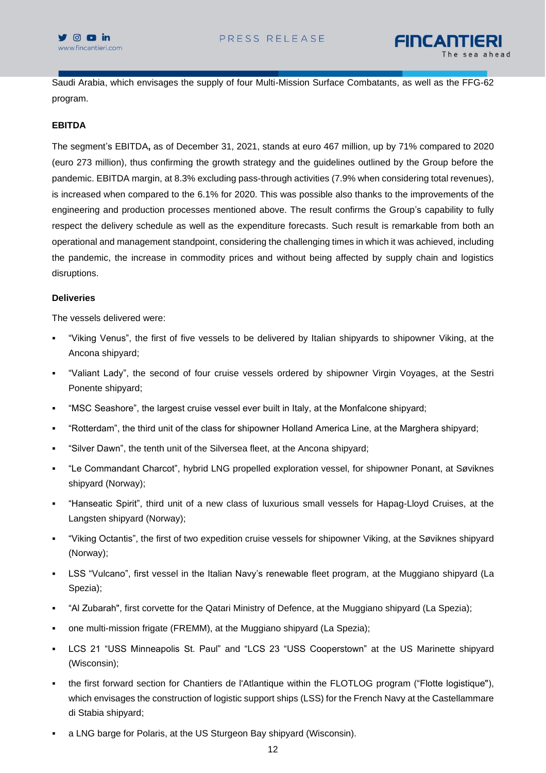

Saudi Arabia, which envisages the supply of four Multi-Mission Surface Combatants, as well as the FFG-62 program.

## **EBITDA**

The segment's EBITDA**,** as of December 31, 2021, stands at euro 467 million, up by 71% compared to 2020 (euro 273 million), thus confirming the growth strategy and the guidelines outlined by the Group before the pandemic. EBITDA margin, at 8.3% excluding pass-through activities (7.9% when considering total revenues), is increased when compared to the 6.1% for 2020. This was possible also thanks to the improvements of the engineering and production processes mentioned above. The result confirms the Group's capability to fully respect the delivery schedule as well as the expenditure forecasts. Such result is remarkable from both an operational and management standpoint, considering the challenging times in which it was achieved, including the pandemic, the increase in commodity prices and without being affected by supply chain and logistics disruptions.

### **Deliveries**

The vessels delivered were:

- "Viking Venus", the first of five vessels to be delivered by Italian shipyards to shipowner Viking, at the Ancona shipyard;
- "Valiant Lady", the second of four cruise vessels ordered by shipowner Virgin Voyages, at the Sestri Ponente shipyard;
- "MSC Seashore", the largest cruise vessel ever built in Italy, at the Monfalcone shipyard;
- "Rotterdam", the third unit of the class for shipowner Holland America Line, at the Marghera shipyard;
- "Silver Dawn", the tenth unit of the Silversea fleet, at the Ancona shipyard;
- "Le Commandant Charcot", hybrid LNG propelled exploration vessel, for shipowner Ponant, at Søviknes shipyard (Norway);
- "Hanseatic Spirit", third unit of a new class of luxurious small vessels for Hapag-Lloyd Cruises, at the Langsten shipyard (Norway);
- "Viking Octantis", the first of two expedition cruise vessels for shipowner Viking, at the Søviknes shipyard (Norway);
- LSS "Vulcano", first vessel in the Italian Navy's renewable fleet program, at the Muggiano shipyard (La Spezia);
- "Al Zubarah", first corvette for the Qatari Ministry of Defence, at the Muggiano shipyard (La Spezia);
- one multi-mission frigate (FREMM), at the Muggiano shipyard (La Spezia);
- LCS 21 "USS Minneapolis St. Paul" and "LCS 23 "USS Cooperstown" at the US Marinette shipyard (Wisconsin);
- the first forward section for Chantiers de l'Atlantique within the FLOTLOG program ("Flotte logistique"), which envisages the construction of logistic support ships (LSS) for the French Navy at the Castellammare di Stabia shipyard;
- a LNG barge for Polaris, at the US Sturgeon Bay shipyard (Wisconsin).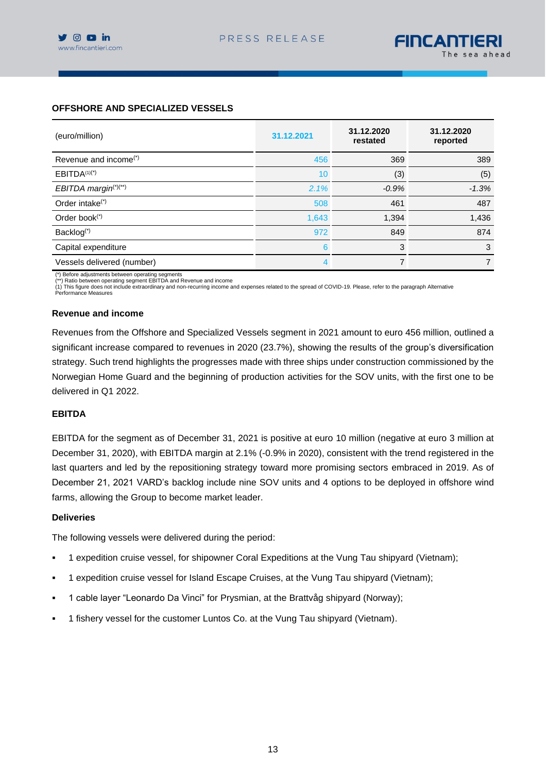## **OFFSHORE AND SPECIALIZED VESSELS**

| (euro/million)                    | 31.12.2021 | 31.12.2020<br>restated | 31.12.2020<br>reported |
|-----------------------------------|------------|------------------------|------------------------|
| Revenue and income <sup>(*)</sup> | 456        | 369                    | 389                    |
| $EBITDA(1)(*)$                    | 10         | (3)                    | (5)                    |
| EBITDA margin <sup>(*)(**)</sup>  | 2.1%       | $-0.9%$                | $-1.3%$                |
| Order intake <sup>(*)</sup>       | 508        | 461                    | 487                    |
| Order book $(*)$                  | 1,643      | 1,394                  | 1,436                  |
| Backlog <sup>(*)</sup>            | 972        | 849                    | 874                    |
| Capital expenditure               | 6          | 3                      | 3                      |
| Vessels delivered (number)        | 4          | $\overline{7}$         |                        |

(\*) Before adjustments between operating segments

(\*\*) Ratio between operating segment EBITDA and Revenue and income

(1) This figure does not include extraordinary and non-recurring income and expenses related to the spread of COVID-19. Please, refer to the paragraph Alternative Performance Measures

### **Revenue and income**

Revenues from the Offshore and Specialized Vessels segment in 2021 amount to euro 456 million, outlined a significant increase compared to revenues in 2020 (23.7%), showing the results of the group's diversification strategy. Such trend highlights the progresses made with three ships under construction commissioned by the Norwegian Home Guard and the beginning of production activities for the SOV units, with the first one to be delivered in Q1 2022.

### **EBITDA**

EBITDA for the segment as of December 31, 2021 is positive at euro 10 million (negative at euro 3 million at December 31, 2020), with EBITDA margin at 2.1% (-0.9% in 2020), consistent with the trend registered in the last quarters and led by the repositioning strategy toward more promising sectors embraced in 2019. As of December 21, 2021 VARD's backlog include nine SOV units and 4 options to be deployed in offshore wind farms, allowing the Group to become market leader.

#### **Deliveries**

The following vessels were delivered during the period:

- 1 expedition cruise vessel, for shipowner Coral Expeditions at the Vung Tau shipyard (Vietnam);
- 1 expedition cruise vessel for Island Escape Cruises, at the Vung Tau shipyard (Vietnam);
- 1 cable layer "Leonardo Da Vinci" for Prysmian, at the Brattvåg shipyard (Norway);
- 1 fishery vessel for the customer Luntos Co. at the Vung Tau shipyard (Vietnam).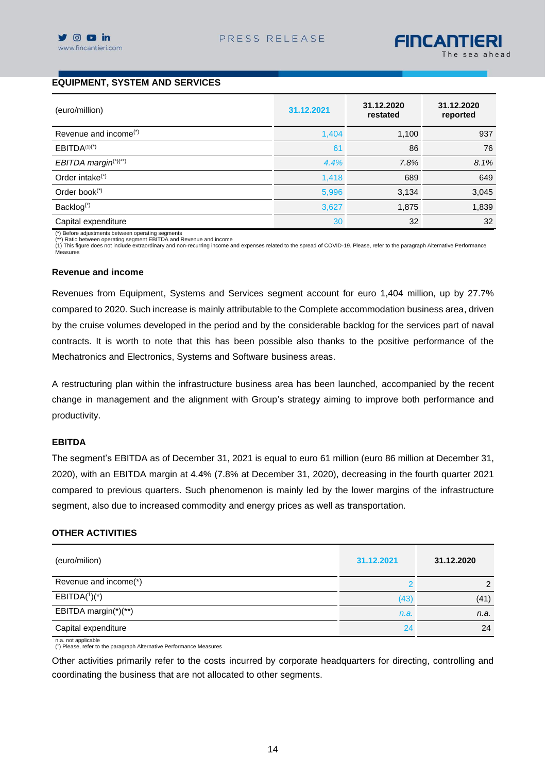# **EQUIPMENT, SYSTEM AND SERVICES**

| (euro/million)                    | 31.12.2021 | 31.12.2020<br>restated | 31.12.2020<br>reported |
|-----------------------------------|------------|------------------------|------------------------|
| Revenue and income <sup>(*)</sup> | 1,404      | 1,100                  | 937                    |
| EBITDA <sup>(1)(*)</sup>          | 61         | 86                     | 76                     |
| EBITDA margin <sup>(*)(**)</sup>  | 4.4%       | 7.8%                   | 8.1%                   |
| Order intake <sup>(*)</sup>       | 1,418      | 689                    | 649                    |
| Order book <sup>(*)</sup>         | 5,996      | 3,134                  | 3,045                  |
| Backlog <sup>(*)</sup>            | 3,627      | 1,875                  | 1,839                  |
| Capital expenditure               | 30         | 32                     | 32                     |

(\*) Before adjustments between operating segments (\*\*) Ratio between operating segment EBITDA and Revenue and income

(1) This figure does not include extraordinary and non-recurring income and expenses related to the spread of COVID-19. Please, refer to the paragraph Alternative Performance Measures

#### **Revenue and income**

Revenues from Equipment, Systems and Services segment account for euro 1,404 million, up by 27.7% compared to 2020. Such increase is mainly attributable to the Complete accommodation business area, driven by the cruise volumes developed in the period and by the considerable backlog for the services part of naval contracts. It is worth to note that this has been possible also thanks to the positive performance of the Mechatronics and Electronics, Systems and Software business areas.

A restructuring plan within the infrastructure business area has been launched, accompanied by the recent change in management and the alignment with Group's strategy aiming to improve both performance and productivity.

### **EBITDA**

The segment's EBITDA as of December 31, 2021 is equal to euro 61 million (euro 86 million at December 31, 2020), with an EBITDA margin at 4.4% (7.8% at December 31, 2020), decreasing in the fourth quarter 2021 compared to previous quarters. Such phenomenon is mainly led by the lower margins of the infrastructure segment, also due to increased commodity and energy prices as well as transportation.

#### **OTHER ACTIVITIES**

| (euro/milion)         | 31.12.2021 | 31.12.2020 |
|-----------------------|------------|------------|
| Revenue and income(*) |            |            |
| $EBITDA(^1)(*)$       | (43)       | (41)       |
| EBITDA margin(*)(**)  | n.a.       | n.a.       |
| Capital expenditure   | 24         | 24         |
| n.a. not applicable   |            |            |

( 1 ) Please, refer to the paragraph Alternative Performance Measures

Other activities primarily refer to the costs incurred by corporate headquarters for directing, controlling and coordinating the business that are not allocated to other segments.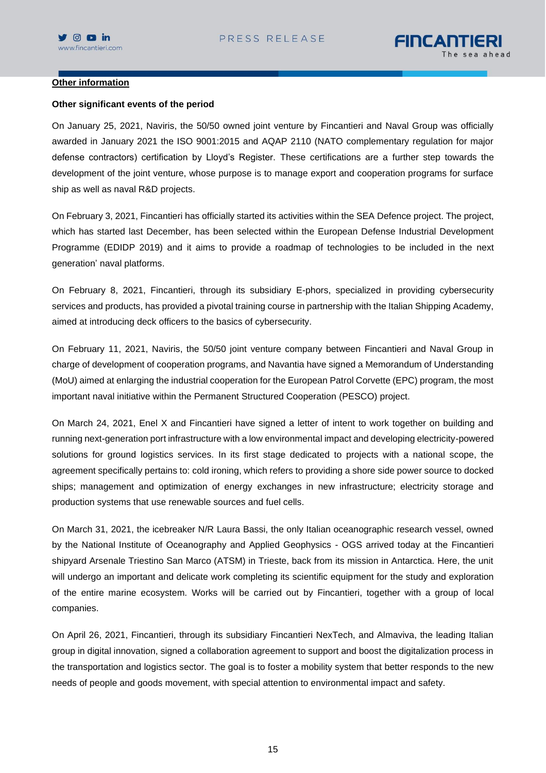

#### **Other information**

#### **Other significant events of the period**

On January 25, 2021, Naviris, the 50/50 owned joint venture by Fincantieri and Naval Group was officially awarded in January 2021 the ISO 9001:2015 and AQAP 2110 (NATO complementary regulation for major defense contractors) certification by Lloyd's Register. These certifications are a further step towards the development of the joint venture, whose purpose is to manage export and cooperation programs for surface ship as well as naval R&D projects.

On February 3, 2021, Fincantieri has officially started its activities within the SEA Defence project. The project, which has started last December, has been selected within the European Defense Industrial Development Programme (EDIDP 2019) and it aims to provide a roadmap of technologies to be included in the next generation' naval platforms.

On February 8, 2021, Fincantieri, through its subsidiary E-phors, specialized in providing cybersecurity services and products, has provided a pivotal training course in partnership with the Italian Shipping Academy, aimed at introducing deck officers to the basics of cybersecurity.

On February 11, 2021, Naviris, the 50/50 joint venture company between Fincantieri and Naval Group in charge of development of cooperation programs, and Navantia have signed a Memorandum of Understanding (MoU) aimed at enlarging the industrial cooperation for the European Patrol Corvette (EPC) program, the most important naval initiative within the Permanent Structured Cooperation (PESCO) project.

On March 24, 2021, Enel X and Fincantieri have signed a letter of intent to work together on building and running next-generation port infrastructure with a low environmental impact and developing electricity-powered solutions for ground logistics services. In its first stage dedicated to projects with a national scope, the agreement specifically pertains to: cold ironing, which refers to providing a shore side power source to docked ships; management and optimization of energy exchanges in new infrastructure; electricity storage and production systems that use renewable sources and fuel cells.

On March 31, 2021, the icebreaker N/R Laura Bassi, the only Italian oceanographic research vessel, owned by the National Institute of Oceanography and Applied Geophysics - OGS arrived today at the Fincantieri shipyard Arsenale Triestino San Marco (ATSM) in Trieste, back from its mission in Antarctica. Here, the unit will undergo an important and delicate work completing its scientific equipment for the study and exploration of the entire marine ecosystem. Works will be carried out by Fincantieri, together with a group of local companies.

On April 26, 2021, Fincantieri, through its subsidiary Fincantieri NexTech, and Almaviva, the leading Italian group in digital innovation, signed a collaboration agreement to support and boost the digitalization process in the transportation and logistics sector. The goal is to foster a mobility system that better responds to the new needs of people and goods movement, with special attention to environmental impact and safety.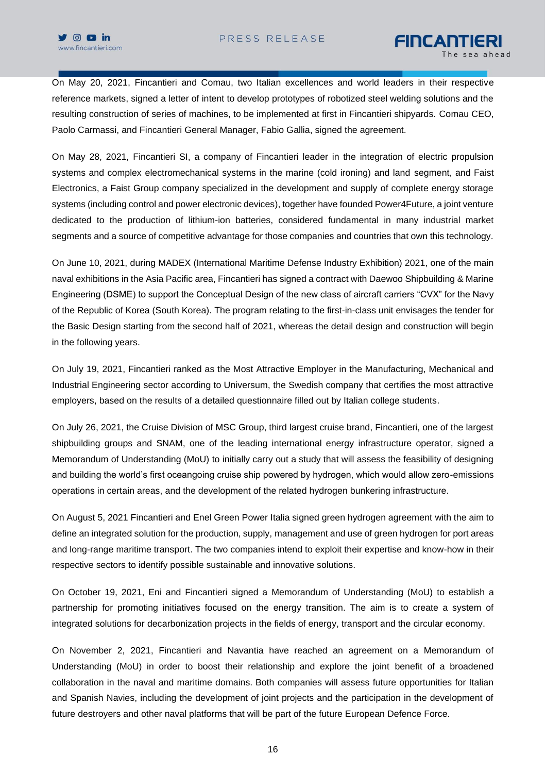On May 20, 2021, Fincantieri and Comau, two Italian excellences and world leaders in their respective reference markets, signed a letter of intent to develop prototypes of robotized steel welding solutions and the resulting construction of series of machines, to be implemented at first in Fincantieri shipyards. Comau CEO, Paolo Carmassi, and Fincantieri General Manager, Fabio Gallia, signed the agreement.

On May 28, 2021, Fincantieri SI, a company of Fincantieri leader in the integration of electric propulsion systems and complex electromechanical systems in the marine (cold ironing) and land segment, and Faist Electronics, a Faist Group company specialized in the development and supply of complete energy storage systems (including control and power electronic devices), together have founded Power4Future, a joint venture dedicated to the production of lithium-ion batteries, considered fundamental in many industrial market segments and a source of competitive advantage for those companies and countries that own this technology.

On June 10, 2021, during MADEX (International Maritime Defense Industry Exhibition) 2021, one of the main naval exhibitions in the Asia Pacific area, Fincantieri has signed a contract with Daewoo Shipbuilding & Marine Engineering (DSME) to support the Conceptual Design of the new class of aircraft carriers "CVX" for the Navy of the Republic of Korea (South Korea). The program relating to the first-in-class unit envisages the tender for the Basic Design starting from the second half of 2021, whereas the detail design and construction will begin in the following years.

On July 19, 2021, Fincantieri ranked as the Most Attractive Employer in the Manufacturing, Mechanical and Industrial Engineering sector according to Universum, the Swedish company that certifies the most attractive employers, based on the results of a detailed questionnaire filled out by Italian college students.

On July 26, 2021, the Cruise Division of MSC Group, third largest cruise brand, Fincantieri, one of the largest shipbuilding groups and SNAM, one of the leading international energy infrastructure operator, signed a Memorandum of Understanding (MoU) to initially carry out a study that will assess the feasibility of designing and building the world's first oceangoing cruise ship powered by hydrogen, which would allow zero-emissions operations in certain areas, and the development of the related hydrogen bunkering infrastructure.

On August 5, 2021 Fincantieri and Enel Green Power Italia signed green hydrogen agreement with the aim to define an integrated solution for the production, supply, management and use of green hydrogen for port areas and long-range maritime transport. The two companies intend to exploit their expertise and know-how in their respective sectors to identify possible sustainable and innovative solutions.

On October 19, 2021, Eni and Fincantieri signed a Memorandum of Understanding (MoU) to establish a partnership for promoting initiatives focused on the energy transition. The aim is to create a system of integrated solutions for decarbonization projects in the fields of energy, transport and the circular economy.

On November 2, 2021, Fincantieri and Navantia have reached an agreement on a Memorandum of Understanding (MoU) in order to boost their relationship and explore the joint benefit of a broadened collaboration in the naval and maritime domains. Both companies will assess future opportunities for Italian and Spanish Navies, including the development of joint projects and the participation in the development of future destroyers and other naval platforms that will be part of the future European Defence Force.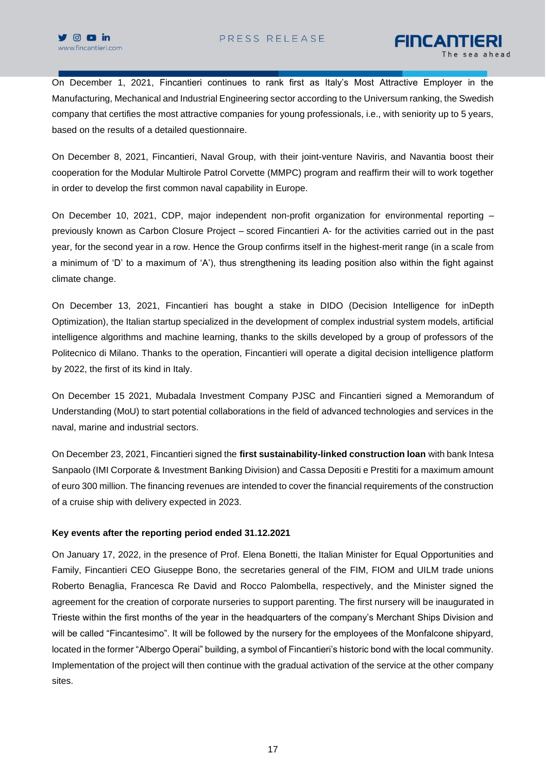On December 1, 2021, Fincantieri continues to rank first as Italy's Most Attractive Employer in the Manufacturing, Mechanical and Industrial Engineering sector according to the Universum ranking, the Swedish company that certifies the most attractive companies for young professionals, i.e., with seniority up to 5 years, based on the results of a detailed questionnaire.

On December 8, 2021, Fincantieri, Naval Group, with their joint-venture Naviris, and Navantia boost their cooperation for the Modular Multirole Patrol Corvette (MMPC) program and reaffirm their will to work together in order to develop the first common naval capability in Europe.

On December 10, 2021, CDP, major independent non-profit organization for environmental reporting – previously known as Carbon Closure Project – scored Fincantieri A- for the activities carried out in the past year, for the second year in a row. Hence the Group confirms itself in the highest-merit range (in a scale from a minimum of 'D' to a maximum of 'A'), thus strengthening its leading position also within the fight against climate change.

On December 13, 2021, Fincantieri has bought a stake in DIDO (Decision Intelligence for inDepth Optimization), the Italian startup specialized in the development of complex industrial system models, artificial intelligence algorithms and machine learning, thanks to the skills developed by a group of professors of the Politecnico di Milano. Thanks to the operation, Fincantieri will operate a digital decision intelligence platform by 2022, the first of its kind in Italy.

On December 15 2021, Mubadala Investment Company PJSC and Fincantieri signed a Memorandum of Understanding (MoU) to start potential collaborations in the field of advanced technologies and services in the naval, marine and industrial sectors.

On December 23, 2021, Fincantieri signed the **first sustainability-linked construction loan** with bank Intesa Sanpaolo (IMI Corporate & Investment Banking Division) and Cassa Depositi e Prestiti for a maximum amount of euro 300 million. The financing revenues are intended to cover the financial requirements of the construction of a cruise ship with delivery expected in 2023.

### **Key events after the reporting period ended 31.12.2021**

On January 17, 2022, in the presence of Prof. Elena Bonetti, the Italian Minister for Equal Opportunities and Family, Fincantieri CEO Giuseppe Bono, the secretaries general of the FIM, FIOM and UILM trade unions Roberto Benaglia, Francesca Re David and Rocco Palombella, respectively, and the Minister signed the agreement for the creation of corporate nurseries to support parenting. The first nursery will be inaugurated in Trieste within the first months of the year in the headquarters of the company's Merchant Ships Division and will be called "Fincantesimo". It will be followed by the nursery for the employees of the Monfalcone shipyard, located in the former "Albergo Operai" building, a symbol of Fincantieri's historic bond with the local community. Implementation of the project will then continue with the gradual activation of the service at the other company sites.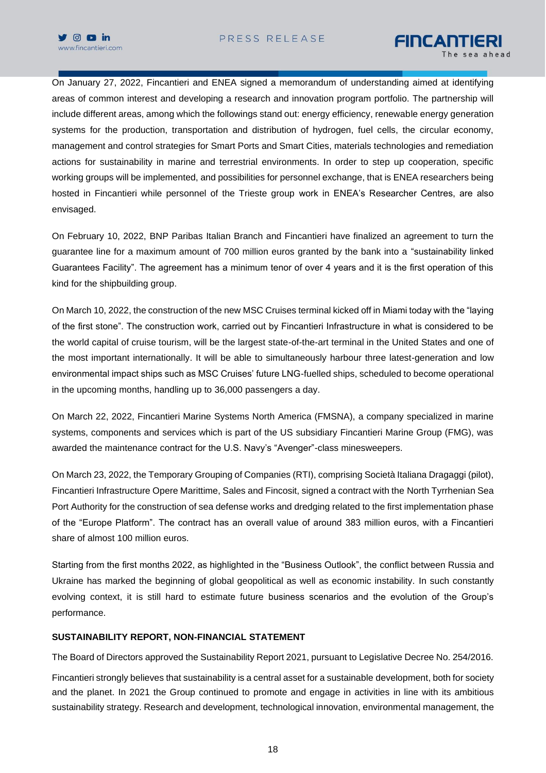



On January 27, 2022, Fincantieri and ENEA signed a memorandum of understanding aimed at identifying areas of common interest and developing a research and innovation program portfolio. The partnership will include different areas, among which the followings stand out: energy efficiency, renewable energy generation systems for the production, transportation and distribution of hydrogen, fuel cells, the circular economy, management and control strategies for Smart Ports and Smart Cities, materials technologies and remediation actions for sustainability in marine and terrestrial environments. In order to step up cooperation, specific working groups will be implemented, and possibilities for personnel exchange, that is ENEA researchers being hosted in Fincantieri while personnel of the Trieste group work in ENEA's Researcher Centres, are also envisaged.

On February 10, 2022, BNP Paribas Italian Branch and Fincantieri have finalized an agreement to turn the guarantee line for a maximum amount of 700 million euros granted by the bank into a "sustainability linked Guarantees Facility". The agreement has a minimum tenor of over 4 years and it is the first operation of this kind for the shipbuilding group.

On March 10, 2022, the construction of the new MSC Cruises terminal kicked off in Miami today with the "laying of the first stone". The construction work, carried out by Fincantieri Infrastructure in what is considered to be the world capital of cruise tourism, will be the largest state-of-the-art terminal in the United States and one of the most important internationally. It will be able to simultaneously harbour three latest-generation and low environmental impact ships such as MSC Cruises' future LNG-fuelled ships, scheduled to become operational in the upcoming months, handling up to 36,000 passengers a day.

On March 22, 2022, Fincantieri Marine Systems North America (FMSNA), a company specialized in marine systems, components and services which is part of the US subsidiary Fincantieri Marine Group (FMG), was awarded the maintenance contract for the U.S. Navy's "Avenger"-class minesweepers.

On March 23, 2022, the Temporary Grouping of Companies (RTI), comprising Società Italiana Dragaggi (pilot), Fincantieri Infrastructure Opere Marittime, Sales and Fincosit, signed a contract with the North Tyrrhenian Sea Port Authority for the construction of sea defense works and dredging related to the first implementation phase of the "Europe Platform". The contract has an overall value of around 383 million euros, with a Fincantieri share of almost 100 million euros.

Starting from the first months 2022, as highlighted in the "Business Outlook", the conflict between Russia and Ukraine has marked the beginning of global geopolitical as well as economic instability. In such constantly evolving context, it is still hard to estimate future business scenarios and the evolution of the Group's performance.

### **SUSTAINABILITY REPORT, NON-FINANCIAL STATEMENT**

The Board of Directors approved the Sustainability Report 2021, pursuant to Legislative Decree No. 254/2016.

Fincantieri strongly believes that sustainability is a central asset for a sustainable development, both for society and the planet. In 2021 the Group continued to promote and engage in activities in line with its ambitious sustainability strategy. Research and development, technological innovation, environmental management, the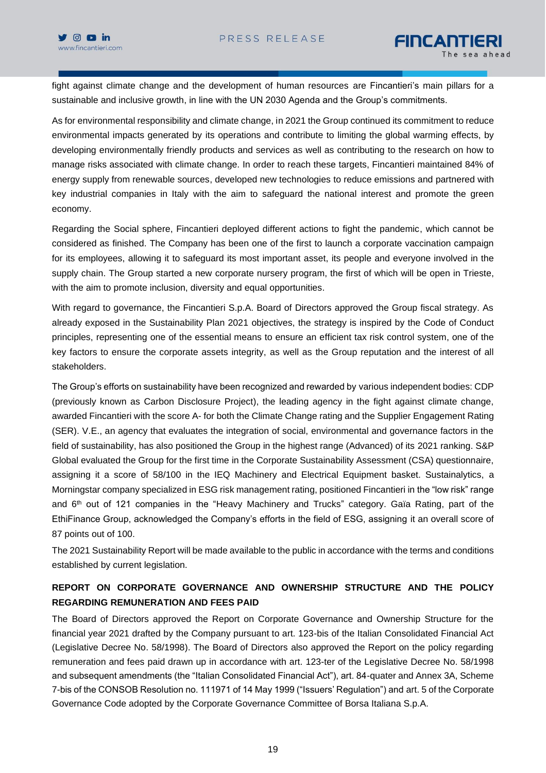fight against climate change and the development of human resources are Fincantieri's main pillars for a sustainable and inclusive growth, in line with the UN 2030 Agenda and the Group's commitments.

As for environmental responsibility and climate change, in 2021 the Group continued its commitment to reduce environmental impacts generated by its operations and contribute to limiting the global warming effects, by developing environmentally friendly products and services as well as contributing to the research on how to manage risks associated with climate change. In order to reach these targets, Fincantieri maintained 84% of energy supply from renewable sources, developed new technologies to reduce emissions and partnered with key industrial companies in Italy with the aim to safeguard the national interest and promote the green economy.

Regarding the Social sphere, Fincantieri deployed different actions to fight the pandemic, which cannot be considered as finished. The Company has been one of the first to launch a corporate vaccination campaign for its employees, allowing it to safeguard its most important asset, its people and everyone involved in the supply chain. The Group started a new corporate nursery program, the first of which will be open in Trieste, with the aim to promote inclusion, diversity and equal opportunities.

With regard to governance, the Fincantieri S.p.A. Board of Directors approved the Group fiscal strategy. As already exposed in the Sustainability Plan 2021 objectives, the strategy is inspired by the Code of Conduct principles, representing one of the essential means to ensure an efficient tax risk control system, one of the key factors to ensure the corporate assets integrity, as well as the Group reputation and the interest of all stakeholders.

The Group's efforts on sustainability have been recognized and rewarded by various independent bodies: CDP (previously known as Carbon Disclosure Project), the leading agency in the fight against climate change, awarded Fincantieri with the score A- for both the Climate Change rating and the Supplier Engagement Rating (SER). V.E., an agency that evaluates the integration of social, environmental and governance factors in the field of sustainability, has also positioned the Group in the highest range (Advanced) of its 2021 ranking. S&P Global evaluated the Group for the first time in the Corporate Sustainability Assessment (CSA) questionnaire, assigning it a score of 58/100 in the IEQ Machinery and Electrical Equipment basket. Sustainalytics, a Morningstar company specialized in ESG risk management rating, positioned Fincantieri in the "low risk" range and  $6<sup>th</sup>$  out of 121 companies in the "Heavy Machinery and Trucks" category. Gaïa Rating, part of the EthiFinance Group, acknowledged the Company's efforts in the field of ESG, assigning it an overall score of 87 points out of 100.

The 2021 Sustainability Report will be made available to the public in accordance with the terms and conditions established by current legislation.

# **REPORT ON CORPORATE GOVERNANCE AND OWNERSHIP STRUCTURE AND THE POLICY REGARDING REMUNERATION AND FEES PAID**

The Board of Directors approved the Report on Corporate Governance and Ownership Structure for the financial year 2021 drafted by the Company pursuant to art. 123-bis of the Italian Consolidated Financial Act (Legislative Decree No. 58/1998). The Board of Directors also approved the Report on the policy regarding remuneration and fees paid drawn up in accordance with art. 123-ter of the Legislative Decree No. 58/1998 and subsequent amendments (the "Italian Consolidated Financial Act"), art. 84-quater and Annex 3A, Scheme 7-bis of the CONSOB Resolution no. 111971 of 14 May 1999 ("Issuers' Regulation") and art. 5 of the Corporate Governance Code adopted by the Corporate Governance Committee of Borsa Italiana S.p.A.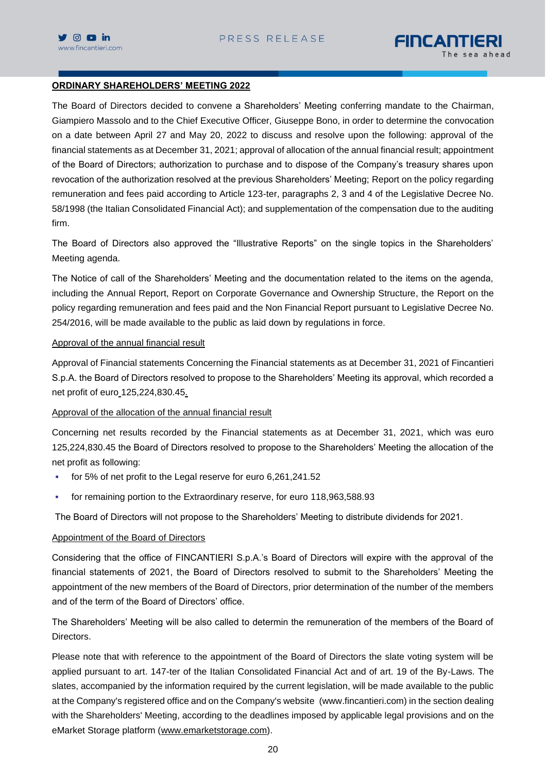

# FINCANTIERI

#### **ORDINARY SHAREHOLDERS' MEETING 2022**

The Board of Directors decided to convene a Shareholders' Meeting conferring mandate to the Chairman, Giampiero Massolo and to the Chief Executive Officer, Giuseppe Bono, in order to determine the convocation on a date between April 27 and May 20, 2022 to discuss and resolve upon the following: approval of the financial statements as at December 31, 2021; approval of allocation of the annual financial result; appointment of the Board of Directors; authorization to purchase and to dispose of the Company's treasury shares upon revocation of the authorization resolved at the previous Shareholders' Meeting; Report on the policy regarding remuneration and fees paid according to Article 123-ter, paragraphs 2, 3 and 4 of the Legislative Decree No. 58/1998 (the Italian Consolidated Financial Act); and supplementation of the compensation due to the auditing firm.

The Board of Directors also approved the "Illustrative Reports" on the single topics in the Shareholders' Meeting agenda.

The Notice of call of the Shareholders' Meeting and the documentation related to the items on the agenda, including the Annual Report, Report on Corporate Governance and Ownership Structure, the Report on the policy regarding remuneration and fees paid and the Non Financial Report pursuant to Legislative Decree No. 254/2016, will be made available to the public as laid down by regulations in force.

#### Approval of the annual financial result

Approval of Financial statements Concerning the Financial statements as at December 31, 2021 of Fincantieri S.p.A. the Board of Directors resolved to propose to the Shareholders' Meeting its approval, which recorded a net profit of euro 125,224,830.45.

### Approval of the allocation of the annual financial result

Concerning net results recorded by the Financial statements as at December 31, 2021, which was euro 125,224,830.45 the Board of Directors resolved to propose to the Shareholders' Meeting the allocation of the net profit as following:

- for 5% of net profit to the Legal reserve for euro 6,261,241.52
- for remaining portion to the Extraordinary reserve, for euro 118,963,588.93

The Board of Directors will not propose to the Shareholders' Meeting to distribute dividends for 2021.

### Appointment of the Board of Directors

Considering that the office of FINCANTIERI S.p.A.'s Board of Directors will expire with the approval of the financial statements of 2021, the Board of Directors resolved to submit to the Shareholders' Meeting the appointment of the new members of the Board of Directors, prior determination of the number of the members and of the term of the Board of Directors' office.

The Shareholders' Meeting will be also called to determin the remuneration of the members of the Board of Directors.

Please note that with reference to the appointment of the Board of Directors the slate voting system will be applied pursuant to art. 147-ter of the Italian Consolidated Financial Act and of art. 19 of the By-Laws. The slates, accompanied by the information required by the current legislation, will be made available to the public at the Company's registered office and on the Company's website [\(www.fincantieri.com\)](http://www.fincantieri.com/) in the section dealing with the Shareholders' Meeting, according to the deadlines imposed by applicable legal provisions and on the eMarket Storage platform [\(www.emarketstorage.com\)](http://www.emarketstorage.com/).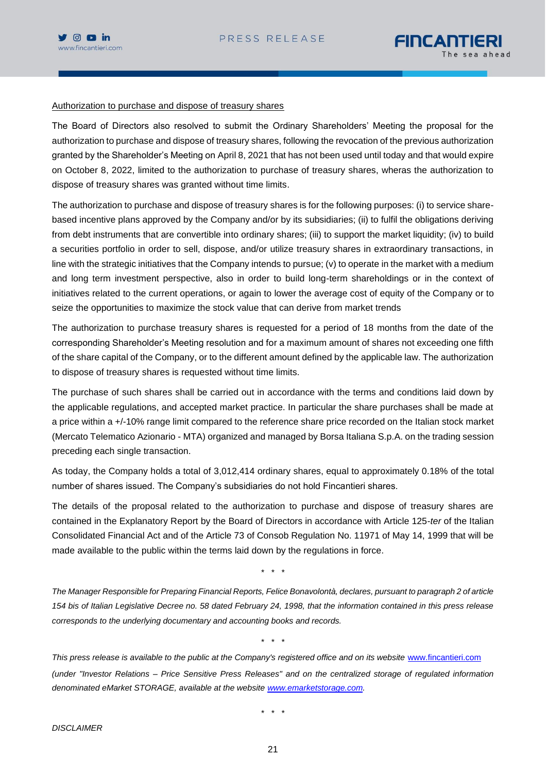



#### Authorization to purchase and dispose of treasury shares

The Board of Directors also resolved to submit the Ordinary Shareholders' Meeting the proposal for the authorization to purchase and dispose of treasury shares, following the revocation of the previous authorization granted by the Shareholder's Meeting on April 8, 2021 that has not been used until today and that would expire on October 8, 2022, limited to the authorization to purchase of treasury shares, wheras the authorization to dispose of treasury shares was granted without time limits.

The authorization to purchase and dispose of treasury shares is for the following purposes: (i) to service sharebased incentive plans approved by the Company and/or by its subsidiaries; (ii) to fulfil the obligations deriving from debt instruments that are convertible into ordinary shares; (iii) to support the market liquidity; (iv) to build a securities portfolio in order to sell, dispose, and/or utilize treasury shares in extraordinary transactions, in line with the strategic initiatives that the Company intends to pursue; (v) to operate in the market with a medium and long term investment perspective, also in order to build long-term shareholdings or in the context of initiatives related to the current operations, or again to lower the average cost of equity of the Company or to seize the opportunities to maximize the stock value that can derive from market trends

The authorization to purchase treasury shares is requested for a period of 18 months from the date of the corresponding Shareholder's Meeting resolution and for a maximum amount of shares not exceeding one fifth of the share capital of the Company, or to the different amount defined by the applicable law. The authorization to dispose of treasury shares is requested without time limits.

The purchase of such shares shall be carried out in accordance with the terms and conditions laid down by the applicable regulations, and accepted market practice. In particular the share purchases shall be made at a price within a +/-10% range limit compared to the reference share price recorded on the Italian stock market (Mercato Telematico Azionario - MTA) organized and managed by Borsa Italiana S.p.A. on the trading session preceding each single transaction.

As today, the Company holds a total of 3,012,414 ordinary shares, equal to approximately 0.18% of the total number of shares issued. The Company's subsidiaries do not hold Fincantieri shares.

The details of the proposal related to the authorization to purchase and dispose of treasury shares are contained in the Explanatory Report by the Board of Directors in accordance with Article 125-*ter* of the Italian Consolidated Financial Act and of the Article 73 of Consob Regulation No. 11971 of May 14, 1999 that will be made available to the public within the terms laid down by the regulations in force.

\* \* \*

*The Manager Responsible for Preparing Financial Reports, Felice Bonavolontà, declares, pursuant to paragraph 2 of article 154 bis of Italian Legislative Decree no. 58 dated February 24, 1998, that the information contained in this press release corresponds to the underlying documentary and accounting books and records.*

\* \* \*

This press release is available to the public at the Company's registered office and on its website [www.fincantieri.com](http://www.fincantieri.com/) *(under "Investor Relations – Price Sensitive Press Releases" and on the centralized storage of regulated information denominated eMarket STORAGE, available at the website [www.emarketstorage.com.](http://www.emarketstorage.com/)*

\* \* \*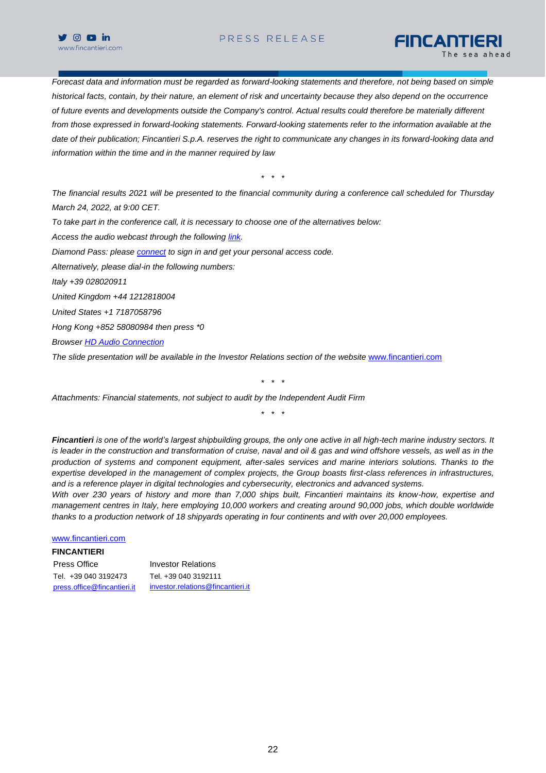

# PRESS RELEASE

FINCANTIERI

*Forecast data and information must be regarded as forward-looking statements and therefore, not being based on simple historical facts, contain, by their nature, an element of risk and uncertainty because they also depend on the occurrence of future events and developments outside the Company's control. Actual results could therefore be materially different from those expressed in forward-looking statements. Forward-looking statements refer to the information available at the date of their publication; Fincantieri S.p.A. reserves the right to communicate any changes in its forward-looking data and information within the time and in the manner required by law*

\* \* \*

*The financial results 2021 will be presented to the financial community during a conference call scheduled for Thursday March 24, 2022, at 9:00 CET.*

*To take part in the conference call, it is necessary to choose one of the alternatives below:*

*Access the audio webcast through the following [link.](https://urldefense.com/v3/__https:/87399.choruscall.eu/links/fincantieri220309.html__;!!EAvW5M_HCdSncw!agvPiOgSXzmW9oY1fHQUm39D9xHzHbBwGXm0LyEexMgJTmx-4TE5VcuDIG_l95WIIwIk-ic$)*

*Diamond Pass: please [connect](https://urldefense.com/v3/__http:/services.choruscall.it/DiamondPassRegistration/register?confirmationNumber=7549598&linkSecurityString=5b2df04ec__;!!EAvW5M_HCdSncw!agvPiOgSXzmW9oY1fHQUm39D9xHzHbBwGXm0LyEexMgJTmx-4TE5VcuDIG_l95WIjcX7Fzg$) to sign in and get your personal access code.*

*Alternatively, please dial-in the following numbers:*

*Italy +39 028020911*

*United Kingdom +44 1212818004*

*United States +1 7187058796*

*Hong Kong +852 58080984 then press \*0*

*Browser [HD Audio Connection](https://urldefense.com/v3/__https:/hditalia.choruscall.com/?calltype=2__;!!EAvW5M_HCdSncw!agvPiOgSXzmW9oY1fHQUm39D9xHzHbBwGXm0LyEexMgJTmx-4TE5VcuDIG_l95WIieK8_a0$)*

*The slide presentation will be available in the Investor Relations section of the website* [www.fincantieri.com](http://www.fincantieri.com/)

\* \* \*

*Attachments: Financial statements, not subject to audit by the Independent Audit Firm*

\* \* \*

*Fincantieri is one of the world's largest shipbuilding groups, the only one active in all high-tech marine industry sectors. It is leader in the construction and transformation of cruise, naval and oil & gas and wind offshore vessels, as well as in the production of systems and component equipment, after-sales services and marine interiors solutions. Thanks to the expertise developed in the management of complex projects, the Group boasts first-class references in infrastructures, and is a reference player in digital technologies and cybersecurity, electronics and advanced systems.* 

*With over 230 years of history and more than 7,000 ships built, Fincantieri maintains its know-how, expertise and management centres in Italy, here employing 10,000 workers and creating around 90,000 jobs, which double worldwide thanks to a production network of 18 shipyards operating in four continents and with over 20,000 employees.*

#### [www.fincantieri.com](http://www.fincantieri.com/)

#### **FINCANTIERI**

Press Office **Investor Relations** Tel. +39 040 3192473 Tel. +39 040 3192111 [press.office@fincantieri.it](mailto:press.office@fincantieri.it) investor.relations@fincantieri.it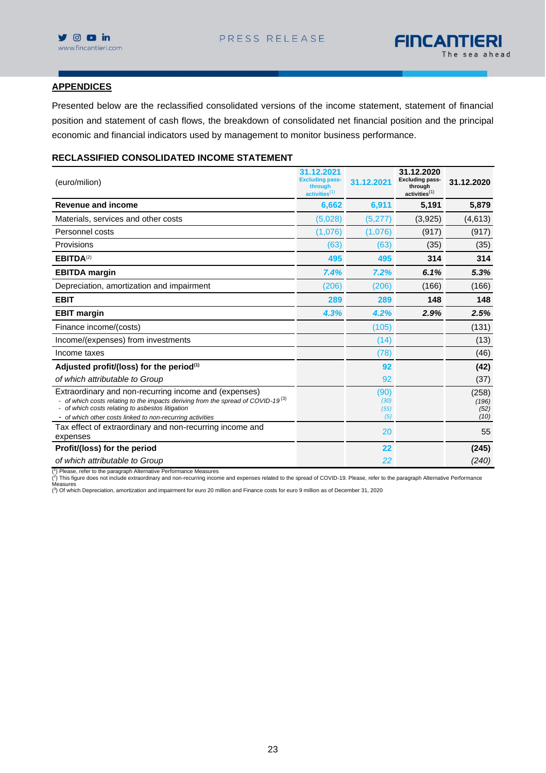

#### **APPENDICES**

Presented below are the reclassified consolidated versions of the income statement, statement of financial position and statement of cash flows, the breakdown of consolidated net financial position and the principal economic and financial indicators used by management to monitor business performance.

## **RECLASSIFIED CONSOLIDATED INCOME STATEMENT**

| (euro/milion)                                                                                                                                                                                                                                                          | 31.12.2021<br><b>Excluding pass-</b><br>through<br>activities <sup>(1)</sup> | 31.12.2021                  | 31.12.2020<br><b>Excluding pass-</b><br>through<br>activities <sup>(1)</sup> | 31.12.2020                     |
|------------------------------------------------------------------------------------------------------------------------------------------------------------------------------------------------------------------------------------------------------------------------|------------------------------------------------------------------------------|-----------------------------|------------------------------------------------------------------------------|--------------------------------|
| <b>Revenue and income</b>                                                                                                                                                                                                                                              | 6,662                                                                        | 6,911                       | 5,191                                                                        | 5,879                          |
| Materials, services and other costs                                                                                                                                                                                                                                    | (5,028)                                                                      | (5,277)                     | (3,925)                                                                      | (4,613)                        |
| Personnel costs                                                                                                                                                                                                                                                        | (1,076)                                                                      | (1,076)                     | (917)                                                                        | (917)                          |
| Provisions                                                                                                                                                                                                                                                             | (63)                                                                         | (63)                        | (35)                                                                         | (35)                           |
| EBITDA <sup>(2)</sup>                                                                                                                                                                                                                                                  | 495                                                                          | 495                         | 314                                                                          | 314                            |
| <b>EBITDA</b> margin                                                                                                                                                                                                                                                   | 7.4%                                                                         | 7.2%                        | 6.1%                                                                         | 5.3%                           |
| Depreciation, amortization and impairment                                                                                                                                                                                                                              | (206)                                                                        | (206)                       | (166)                                                                        | (166)                          |
| <b>EBIT</b>                                                                                                                                                                                                                                                            | 289                                                                          | 289                         | 148                                                                          | 148                            |
| <b>EBIT margin</b>                                                                                                                                                                                                                                                     | 4.3%                                                                         | 4.2%                        | 2.9%                                                                         | 2.5%                           |
| Finance income/(costs)                                                                                                                                                                                                                                                 |                                                                              | (105)                       |                                                                              | (131)                          |
| Income/(expenses) from investments                                                                                                                                                                                                                                     |                                                                              | (14)                        |                                                                              | (13)                           |
| Income taxes                                                                                                                                                                                                                                                           |                                                                              | (78)                        |                                                                              | (46)                           |
| Adjusted profit/(loss) for the period(1)                                                                                                                                                                                                                               |                                                                              | 92                          |                                                                              | (42)                           |
| of which attributable to Group                                                                                                                                                                                                                                         |                                                                              | 92                          |                                                                              | (37)                           |
| Extraordinary and non-recurring income and (expenses)<br>- of which costs relating to the impacts deriving from the spread of COVID-19 <sup>(3)</sup><br>- of which costs relating to asbestos litigation<br>- of which other costs linked to non-recurring activities |                                                                              | (90)<br>(30)<br>(55)<br>(5) |                                                                              | (258)<br>(196)<br>(52)<br>(10) |
| Tax effect of extraordinary and non-recurring income and<br>expenses                                                                                                                                                                                                   |                                                                              | 20                          |                                                                              | 55                             |
| Profit/(loss) for the period                                                                                                                                                                                                                                           |                                                                              | 22                          |                                                                              | (245)                          |
| of which attributable to Group                                                                                                                                                                                                                                         |                                                                              | 22                          |                                                                              | (240)                          |

(<sup>t</sup>) Please, refer to the paragraph Alternative Performance Measures<br>(<sup>2</sup>) This figure does not include extraordinary and non-recurring income and expenses related to the spread of COVID-19. Please, refer to the paragraph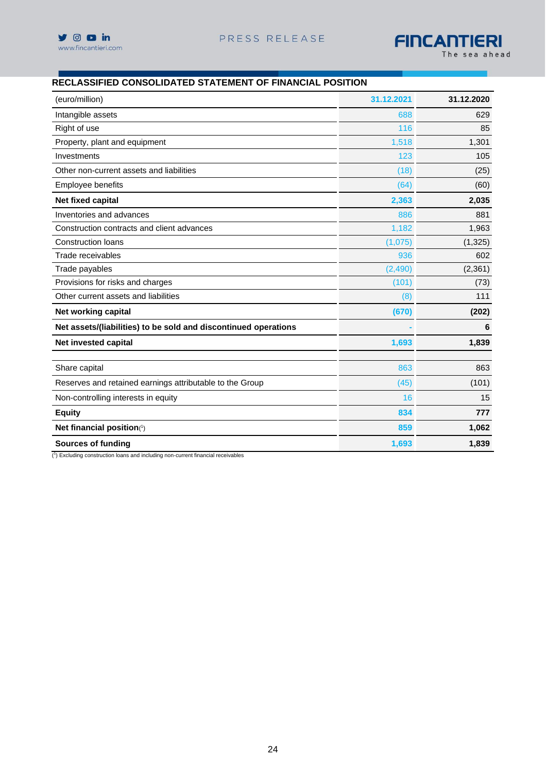

# **RECLASSIFIED CONSOLIDATED STATEMENT OF FINANCIAL POSITION**

| (euro/million)                                                  | 31.12.2021 | 31.12.2020 |
|-----------------------------------------------------------------|------------|------------|
| Intangible assets                                               | 688        | 629        |
| Right of use                                                    | 116        | 85         |
| Property, plant and equipment                                   | 1,518      | 1,301      |
| Investments                                                     | 123        | 105        |
| Other non-current assets and liabilities                        | (18)       | (25)       |
| Employee benefits                                               | (64)       | (60)       |
| Net fixed capital                                               | 2,363      | 2,035      |
| Inventories and advances                                        | 886        | 881        |
| Construction contracts and client advances                      | 1,182      | 1,963      |
| <b>Construction loans</b>                                       | (1,075)    | (1, 325)   |
| Trade receivables                                               | 936        | 602        |
| Trade payables                                                  | (2,490)    | (2, 361)   |
| Provisions for risks and charges                                | (101)      | (73)       |
| Other current assets and liabilities                            | (8)        | 111        |
| Net working capital                                             | (670)      | (202)      |
| Net assets/(liabilities) to be sold and discontinued operations |            | 6          |
| Net invested capital                                            | 1.693      | 1,839      |
| Share capital                                                   | 863        | 863        |
| Reserves and retained earnings attributable to the Group        | (45)       | (101)      |
| Non-controlling interests in equity                             | 16         | 15         |
| <b>Equity</b>                                                   | 834        | 777        |
| Net financial position(1)                                       | 859        | 1,062      |
| <b>Sources of funding</b>                                       | 1,693      | 1,839      |

( 1 ) Excluding construction loans and including non-current financial receivables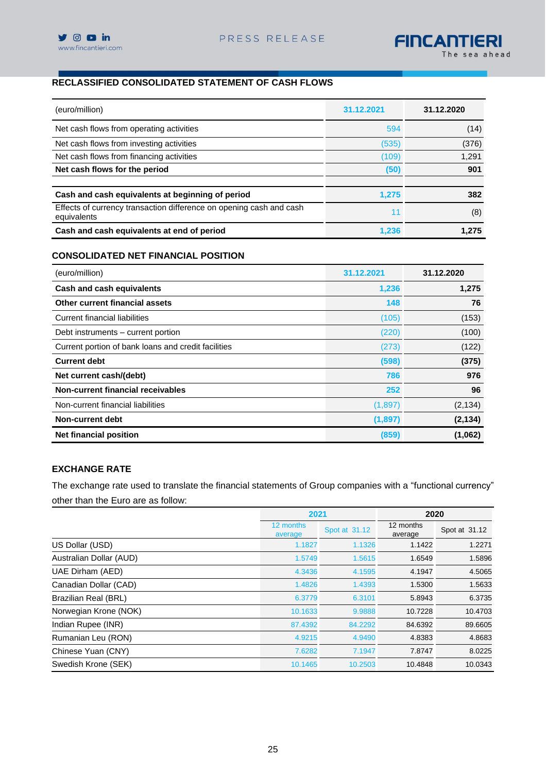

# **RECLASSIFIED CONSOLIDATED STATEMENT OF CASH FLOWS**

| (euro/million)                                                                     | 31.12.2021 | 31.12.2020 |
|------------------------------------------------------------------------------------|------------|------------|
| Net cash flows from operating activities                                           | 594        | (14)       |
| Net cash flows from investing activities                                           | (535)      | (376)      |
| Net cash flows from financing activities                                           | (109)      | 1,291      |
| Net cash flows for the period                                                      | (50)       | 901        |
| Cash and cash equivalents at beginning of period                                   | 1.275      | 382        |
| Effects of currency transaction difference on opening cash and cash<br>equivalents | 11         | (8)        |
| Cash and cash equivalents at end of period                                         | 1.236      | 1.275      |

### **CONSOLIDATED NET FINANCIAL POSITION**

| (euro/million)                                      | 31.12.2021 | 31.12.2020 |
|-----------------------------------------------------|------------|------------|
| Cash and cash equivalents                           | 1,236      | 1,275      |
| Other current financial assets                      | 148        | 76         |
| Current financial liabilities                       | (105)      | (153)      |
| Debt instruments – current portion                  | (220)      | (100)      |
| Current portion of bank loans and credit facilities | (273)      | (122)      |
| <b>Current debt</b>                                 | (598)      | (375)      |
| Net current cash/(debt)                             | 786        | 976        |
| Non-current financial receivables                   | 252        | 96         |
| Non-current financial liabilities                   | (1,897)    | (2, 134)   |
| Non-current debt                                    | (1, 897)   | (2, 134)   |
| <b>Net financial position</b>                       | (859)      | (1,062)    |

## **EXCHANGE RATE**

The exchange rate used to translate the financial statements of Group companies with a "functional currency" other than the Euro are as follow:

|                         | 2021                 |               | 2020                 |               |
|-------------------------|----------------------|---------------|----------------------|---------------|
|                         | 12 months<br>average | Spot at 31.12 | 12 months<br>average | Spot at 31.12 |
| US Dollar (USD)         | 1.1827               | 1.1326        | 1.1422               | 1.2271        |
| Australian Dollar (AUD) | 1.5749               | 1.5615        | 1.6549               | 1.5896        |
| UAE Dirham (AED)        | 4.3436               | 4.1595        | 4.1947               | 4.5065        |
| Canadian Dollar (CAD)   | 1.4826               | 1.4393        | 1.5300               | 1.5633        |
| Brazilian Real (BRL)    | 6.3779               | 6.3101        | 5.8943               | 6.3735        |
| Norwegian Krone (NOK)   | 10.1633              | 9.9888        | 10.7228              | 10.4703       |
| Indian Rupee (INR)      | 87.4392              | 84.2292       | 84.6392              | 89.6605       |
| Rumanian Leu (RON)      | 4.9215               | 4.9490        | 4.8383               | 4.8683        |
| Chinese Yuan (CNY)      | 7.6282               | 7.1947        | 7.8747               | 8.0225        |
| Swedish Krone (SEK)     | 10.1465              | 10.2503       | 10.4848              | 10.0343       |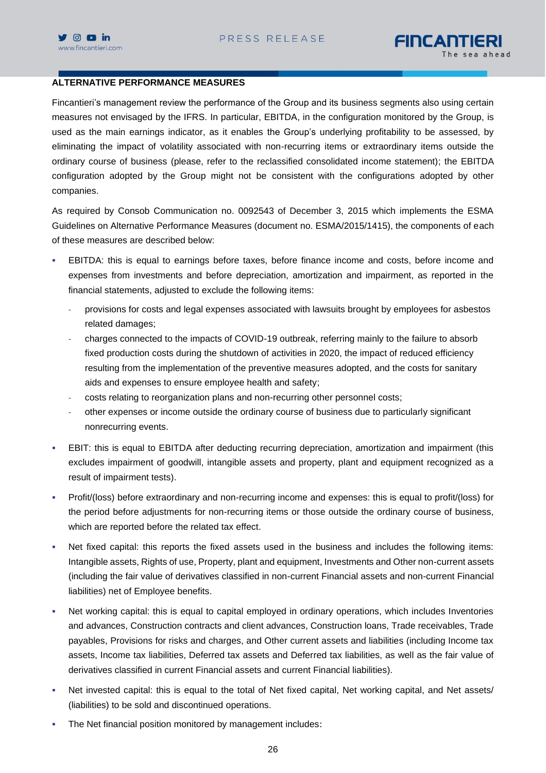

# FINCANTIERI

# **ALTERNATIVE PERFORMANCE MEASURES**

Fincantieri's management review the performance of the Group and its business segments also using certain measures not envisaged by the IFRS. In particular, EBITDA, in the configuration monitored by the Group, is used as the main earnings indicator, as it enables the Group's underlying profitability to be assessed, by eliminating the impact of volatility associated with non-recurring items or extraordinary items outside the ordinary course of business (please, refer to the reclassified consolidated income statement); the EBITDA configuration adopted by the Group might not be consistent with the configurations adopted by other companies.

As required by Consob Communication no. 0092543 of December 3, 2015 which implements the ESMA Guidelines on Alternative Performance Measures (document no. ESMA/2015/1415), the components of each of these measures are described below:

- EBITDA: this is equal to earnings before taxes, before finance income and costs, before income and expenses from investments and before depreciation, amortization and impairment, as reported in the financial statements, adjusted to exclude the following items:
	- provisions for costs and legal expenses associated with lawsuits brought by employees for asbestos related damages;
	- charges connected to the impacts of COVID-19 outbreak, referring mainly to the failure to absorb fixed production costs during the shutdown of activities in 2020, the impact of reduced efficiency resulting from the implementation of the preventive measures adopted, and the costs for sanitary aids and expenses to ensure employee health and safety;
	- costs relating to reorganization plans and non-recurring other personnel costs;
	- other expenses or income outside the ordinary course of business due to particularly significant nonrecurring events.
- EBIT: this is equal to EBITDA after deducting recurring depreciation, amortization and impairment (this excludes impairment of goodwill, intangible assets and property, plant and equipment recognized as a result of impairment tests).
- Profit/(loss) before extraordinary and non-recurring income and expenses: this is equal to profit/(loss) for the period before adjustments for non-recurring items or those outside the ordinary course of business, which are reported before the related tax effect.
- Net fixed capital: this reports the fixed assets used in the business and includes the following items: Intangible assets, Rights of use, Property, plant and equipment, Investments and Other non-current assets (including the fair value of derivatives classified in non-current Financial assets and non-current Financial liabilities) net of Employee benefits.
- Net working capital: this is equal to capital employed in ordinary operations, which includes Inventories and advances, Construction contracts and client advances, Construction loans, Trade receivables, Trade payables, Provisions for risks and charges, and Other current assets and liabilities (including Income tax assets, Income tax liabilities, Deferred tax assets and Deferred tax liabilities, as well as the fair value of derivatives classified in current Financial assets and current Financial liabilities).
- Net invested capital: this is equal to the total of Net fixed capital, Net working capital, and Net assets/ (liabilities) to be sold and discontinued operations.
- The Net financial position monitored by management includes: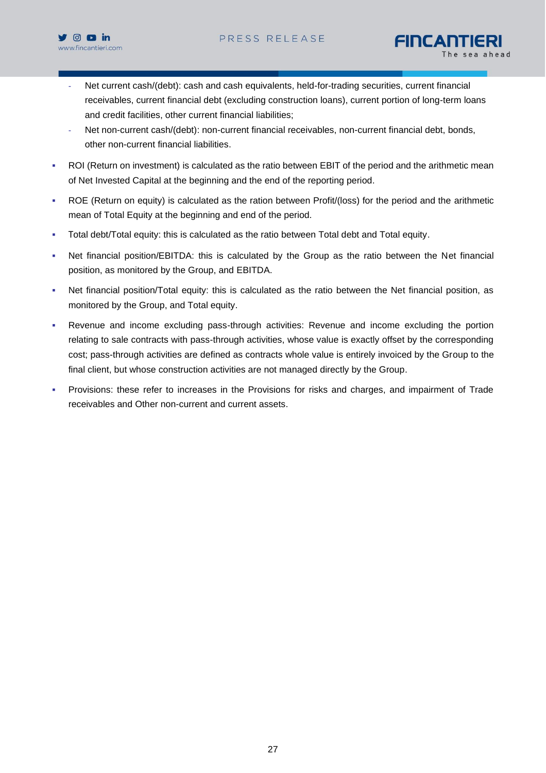

- FINCANTIERI
- Net current cash/(debt): cash and cash equivalents, held-for-trading securities, current financial receivables, current financial debt (excluding construction loans), current portion of long-term loans and credit facilities, other current financial liabilities;
- Net non-current cash/(debt): non-current financial receivables, non-current financial debt, bonds, other non-current financial liabilities.
- ROI (Return on investment) is calculated as the ratio between EBIT of the period and the arithmetic mean of Net Invested Capital at the beginning and the end of the reporting period.
- ROE (Return on equity) is calculated as the ration between Profit/(loss) for the period and the arithmetic mean of Total Equity at the beginning and end of the period.
- Total debt/Total equity: this is calculated as the ratio between Total debt and Total equity.
- Net financial position/EBITDA: this is calculated by the Group as the ratio between the Net financial position, as monitored by the Group, and EBITDA.
- Net financial position/Total equity: this is calculated as the ratio between the Net financial position, as monitored by the Group, and Total equity.
- **•** Revenue and income excluding pass-through activities: Revenue and income excluding the portion relating to sale contracts with pass-through activities, whose value is exactly offset by the corresponding cost; pass-through activities are defined as contracts whole value is entirely invoiced by the Group to the final client, but whose construction activities are not managed directly by the Group.
- Provisions: these refer to increases in the Provisions for risks and charges, and impairment of Trade receivables and Other non-current and current assets.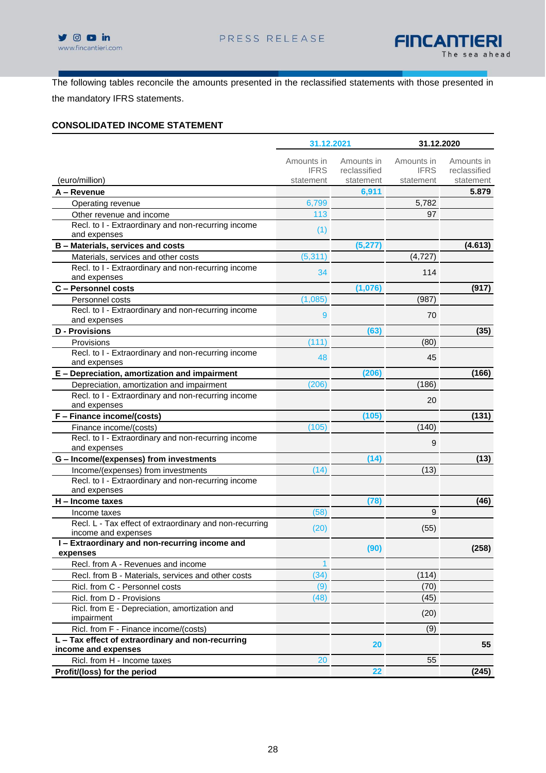



The following tables reconcile the amounts presented in the reclassified statements with those presented in the mandatory IFRS statements.

## **CONSOLIDATED INCOME STATEMENT**

|                                                                                | 31.12.2021                             |                                         |                                        | 31.12.2020                              |  |
|--------------------------------------------------------------------------------|----------------------------------------|-----------------------------------------|----------------------------------------|-----------------------------------------|--|
| (euro/million)                                                                 | Amounts in<br><b>IFRS</b><br>statement | Amounts in<br>reclassified<br>statement | Amounts in<br><b>IFRS</b><br>statement | Amounts in<br>reclassified<br>statement |  |
| A – Revenue                                                                    |                                        | 6,911                                   |                                        | 5.879                                   |  |
| Operating revenue                                                              | 6,799                                  |                                         | 5,782                                  |                                         |  |
| Other revenue and income                                                       | 113                                    |                                         | 97                                     |                                         |  |
| Recl. to I - Extraordinary and non-recurring income                            |                                        |                                         |                                        |                                         |  |
| and expenses                                                                   | (1)                                    |                                         |                                        |                                         |  |
| B - Materials, services and costs                                              |                                        | (5, 277)                                |                                        | (4.613)                                 |  |
| Materials, services and other costs                                            | (5, 311)                               |                                         | (4, 727)                               |                                         |  |
| Recl. to I - Extraordinary and non-recurring income                            | 34                                     |                                         | 114                                    |                                         |  |
| and expenses                                                                   |                                        |                                         |                                        |                                         |  |
| C - Personnel costs                                                            |                                        | (1,076)                                 |                                        | (917)                                   |  |
| Personnel costs                                                                | (1,085)                                |                                         | (987)                                  |                                         |  |
| Recl. to I - Extraordinary and non-recurring income                            | 9                                      |                                         | 70                                     |                                         |  |
| and expenses                                                                   |                                        |                                         |                                        |                                         |  |
| <b>D</b> - Provisions                                                          |                                        | (63)                                    |                                        | (35)                                    |  |
| Provisions                                                                     | (111)                                  |                                         | (80)                                   |                                         |  |
| Recl. to I - Extraordinary and non-recurring income                            | 48                                     |                                         | 45                                     |                                         |  |
| and expenses                                                                   |                                        |                                         |                                        |                                         |  |
| E - Depreciation, amortization and impairment                                  |                                        | (206)                                   |                                        | (166)                                   |  |
| Depreciation, amortization and impairment                                      | (206)                                  |                                         | (186)                                  |                                         |  |
| Recl. to I - Extraordinary and non-recurring income                            |                                        |                                         | 20                                     |                                         |  |
| and expenses                                                                   |                                        |                                         |                                        |                                         |  |
| F - Finance income/(costs)                                                     |                                        | (105)                                   |                                        | (131)                                   |  |
| Finance income/(costs)                                                         | (105)                                  |                                         | (140)                                  |                                         |  |
| Recl. to I - Extraordinary and non-recurring income<br>and expenses            |                                        |                                         | 9                                      |                                         |  |
| G - Income/(expenses) from investments                                         |                                        | (14)                                    |                                        | (13)                                    |  |
| Income/(expenses) from investments                                             | (14)                                   |                                         | (13)                                   |                                         |  |
| Recl. to I - Extraordinary and non-recurring income<br>and expenses            |                                        |                                         |                                        |                                         |  |
| H - Income taxes                                                               |                                        | (78)                                    |                                        | (46)                                    |  |
| Income taxes                                                                   | (58)                                   |                                         | 9                                      |                                         |  |
| Recl. L - Tax effect of extraordinary and non-recurring<br>income and expenses | (20)                                   |                                         | (55)                                   |                                         |  |
| I-Extraordinary and non-recurring income and<br>expenses                       |                                        | (90)                                    |                                        | (258)                                   |  |
| Recl. from A - Revenues and income                                             | 1                                      |                                         |                                        |                                         |  |
| Recl. from B - Materials, services and other costs                             | (34)                                   |                                         | (114)                                  |                                         |  |
| Ricl. from C - Personnel costs                                                 | (9)                                    |                                         | (70)                                   |                                         |  |
| Ricl. from D - Provisions                                                      | (48)                                   |                                         | (45)                                   |                                         |  |
| Ricl. from E - Depreciation, amortization and<br>impairment                    |                                        |                                         | (20)                                   |                                         |  |
| Ricl. from F - Finance income/(costs)                                          |                                        |                                         | (9)                                    |                                         |  |
| L - Tax effect of extraordinary and non-recurring                              |                                        |                                         |                                        |                                         |  |
| income and expenses                                                            |                                        | 20                                      |                                        | 55                                      |  |
| Ricl. from H - Income taxes                                                    | 20                                     |                                         | 55                                     |                                         |  |
| Profit/(loss) for the period                                                   |                                        | 22                                      |                                        | (245)                                   |  |